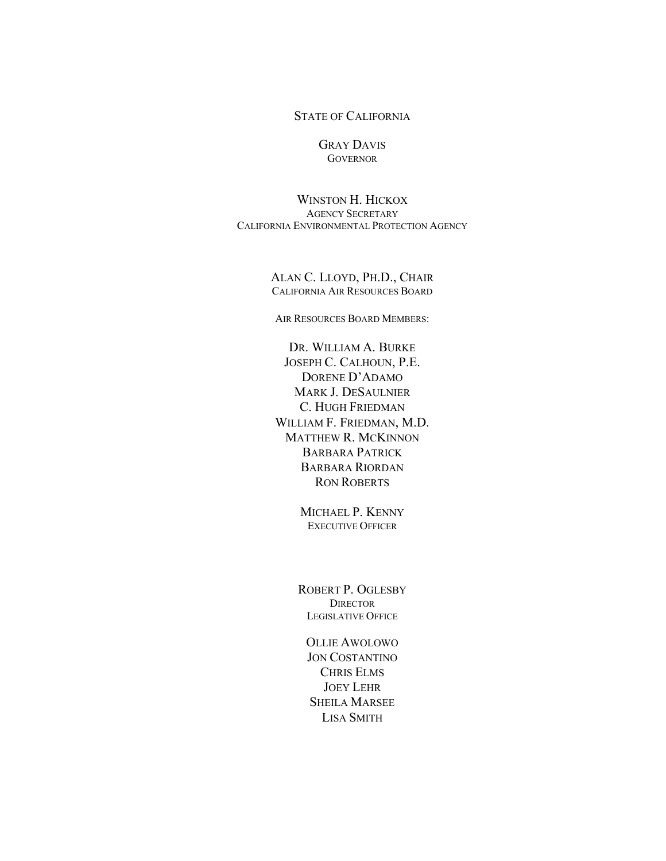#### STATE OF CALIFORNIA

#### GRAY DAVIS **GOVERNOR**

WINSTON H. HICKOX AGENCY SECRETARY CALIFORNIA ENVIRONMENTAL PROTECTION AGENCY

> ALAN C. LLOYD, PH.D., CHAIR CALIFORNIA AIR RESOURCES BOARD

AIR RESOURCES BOARD MEMBERS:

DR. WILLIAM A. BURKE JOSEPH C. CALHOUN, P.E. DORENE D'ADAMO MARK J. DESAULNIER C. HUGH FRIEDMAN WILLIAM F. FRIEDMAN, M.D. MATTHEW R. MCKINNON BARBARA PATRICK BARBARA RIORDAN RON ROBERTS

> MICHAEL P. KENNY EXECUTIVE OFFICER

ROBERT P. OGLESBY **DIRECTOR** LEGISLATIVE OFFICE

OLLIE AWOLOWO JON COSTANTINO CHRIS ELMS JOEY LEHR SHEILA MARSEE LISA SMITH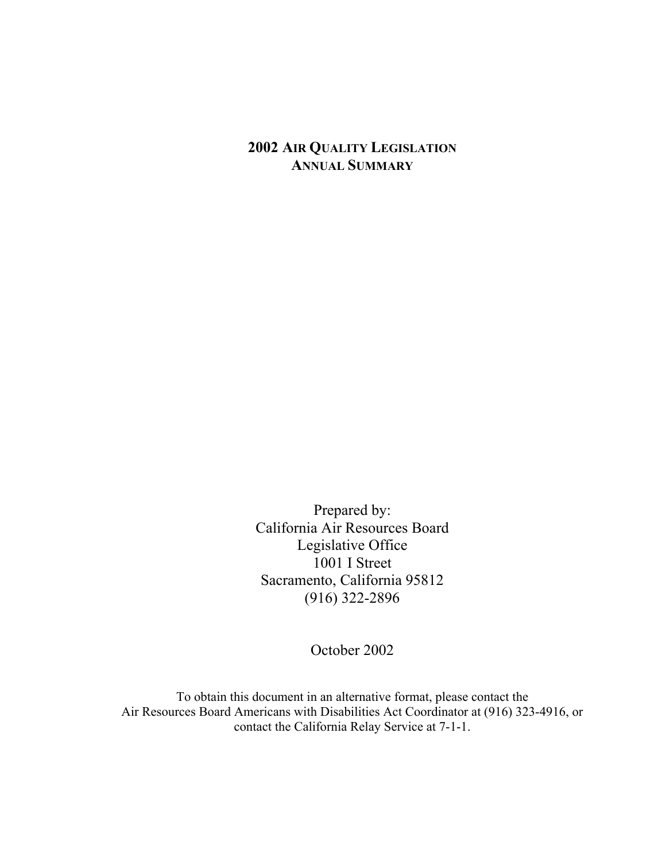## **2002 AIR QUALITY LEGISLATION ANNUAL SUMMARY**

Prepared by: California Air Resources Board Legislative Office 1001 I Street Sacramento, California 95812 (916) 322-2896

October 2002

To obtain this document in an alternative format, please contact the Air Resources Board Americans with Disabilities Act Coordinator at (916) 323-4916, or contact the California Relay Service at 7-1-1.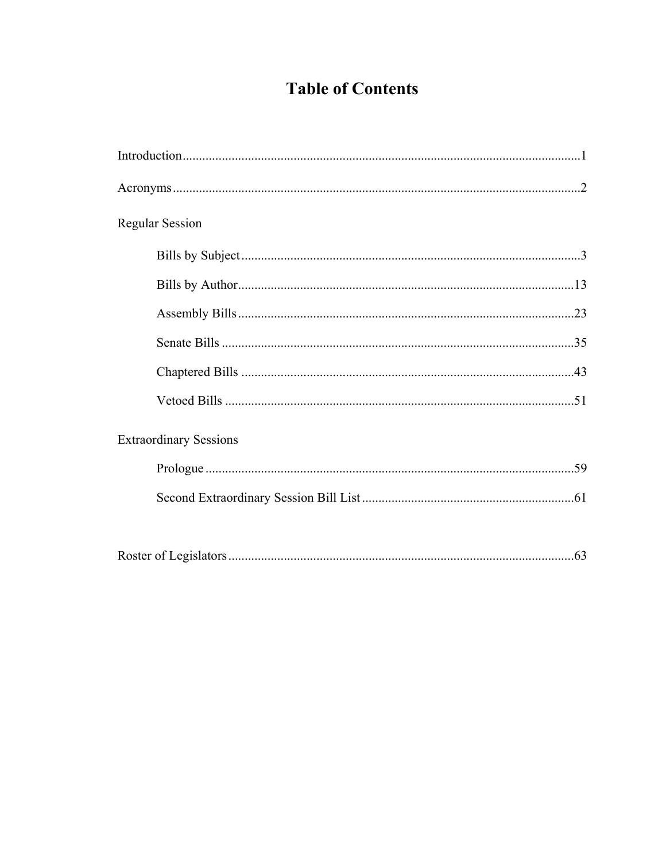## **Table of Contents**

| <b>Regular Session</b>        |
|-------------------------------|
|                               |
|                               |
|                               |
|                               |
|                               |
|                               |
| <b>Extraordinary Sessions</b> |
|                               |
|                               |
|                               |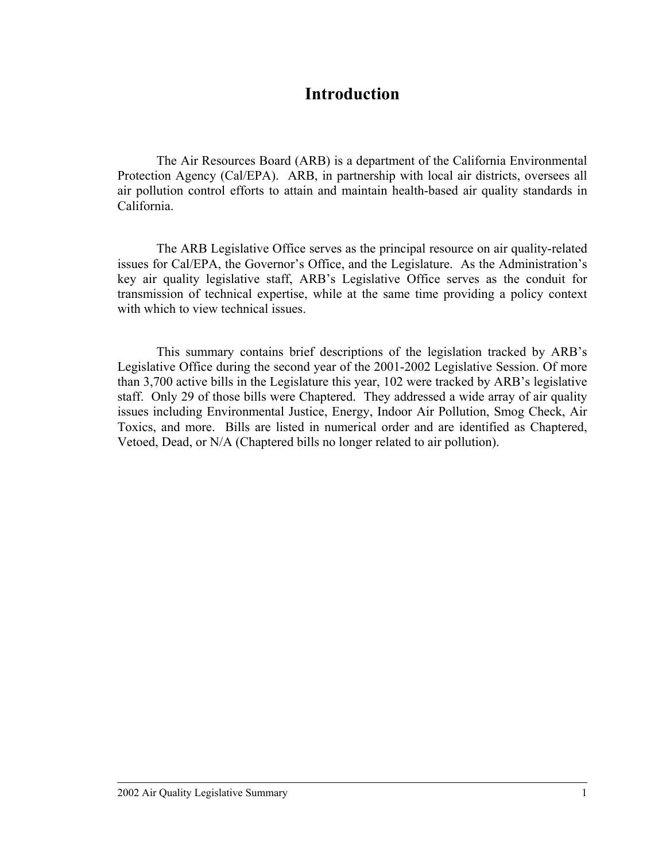## **Introduction**

The Air Resources Board (ARB) is a department of the California Environmental Protection Agency (Cal/EPA). ARB, in partnership with local air districts, oversees all air pollution control efforts to attain and maintain health-based air quality standards in California.

The ARB Legislative Office serves as the principal resource on air quality-related issues for Cal/EPA, the Governor's Office, and the Legislature. As the Administration's key air quality legislative staff, ARB's Legislative Office serves as the conduit for transmission of technical expertise, while at the same time providing a policy context with which to view technical issues.

This summary contains brief descriptions of the legislation tracked by ARB's Legislative Office during the second year of the 2001-2002 Legislative Session. Of more than 3,700 active bills in the Legislature this year, 102 were tracked by ARB's legislative staff. Only 29 of those bills were Chaptered. They addressed a wide array of air quality issues including Environmental Justice, Energy, Indoor Air Pollution, Smog Check, Air Toxics, and more. Bills are listed in numerical order and are identified as Chaptered, Vetoed, Dead, or N/A (Chaptered bills no longer related to air pollution).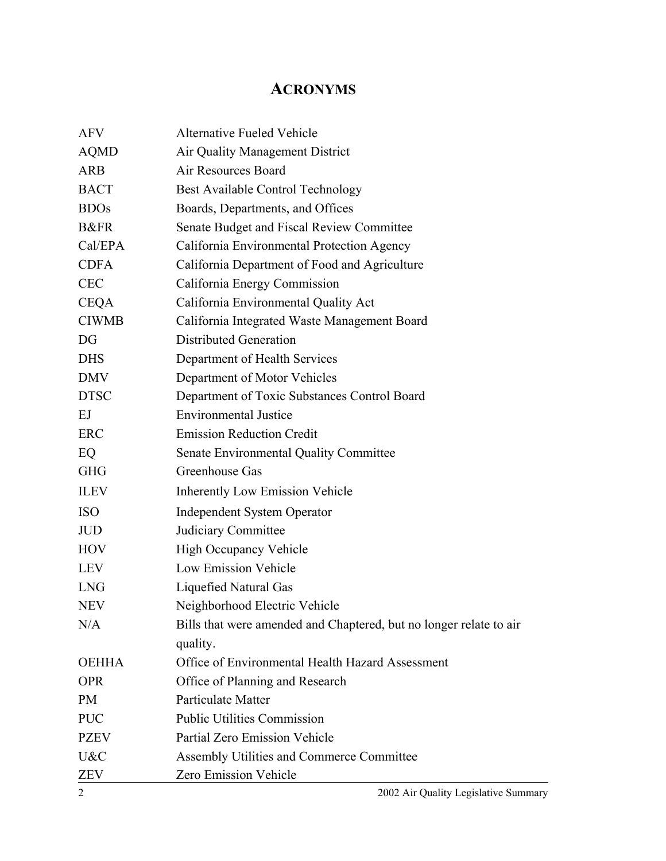## **ACRONYMS**

| <b>AFV</b>      | <b>Alternative Fueled Vehicle</b>                                      |
|-----------------|------------------------------------------------------------------------|
| <b>AQMD</b>     | Air Quality Management District                                        |
| <b>ARB</b>      | Air Resources Board                                                    |
| <b>BACT</b>     | Best Available Control Technology                                      |
| <b>BDOs</b>     | Boards, Departments, and Offices                                       |
| <b>B&amp;FR</b> | Senate Budget and Fiscal Review Committee                              |
| Cal/EPA         | California Environmental Protection Agency                             |
| <b>CDFA</b>     | California Department of Food and Agriculture                          |
| <b>CEC</b>      |                                                                        |
| <b>CEQA</b>     | California Energy Commission                                           |
| <b>CIWMB</b>    | California Environmental Quality Act                                   |
| DG              | California Integrated Waste Management Board<br>Distributed Generation |
|                 |                                                                        |
| <b>DHS</b>      | Department of Health Services                                          |
| <b>DMV</b>      | Department of Motor Vehicles                                           |
| <b>DTSC</b>     | Department of Toxic Substances Control Board                           |
| EJ              | <b>Environmental Justice</b>                                           |
| ERC             | <b>Emission Reduction Credit</b>                                       |
| EQ              | Senate Environmental Quality Committee                                 |
| <b>GHG</b>      | Greenhouse Gas                                                         |
| <b>ILEV</b>     | <b>Inherently Low Emission Vehicle</b>                                 |
| <b>ISO</b>      | <b>Independent System Operator</b>                                     |
| <b>JUD</b>      | Judiciary Committee                                                    |
| <b>HOV</b>      | <b>High Occupancy Vehicle</b>                                          |
| <b>LEV</b>      | <b>Low Emission Vehicle</b>                                            |
| <b>LNG</b>      | Liquefied Natural Gas                                                  |
| <b>NEV</b>      | Neighborhood Electric Vehicle                                          |
| N/A             | Bills that were amended and Chaptered, but no longer relate to air     |
|                 | quality.                                                               |
| <b>OEHHA</b>    | Office of Environmental Health Hazard Assessment                       |
| <b>OPR</b>      | Office of Planning and Research                                        |
| <b>PM</b>       | Particulate Matter                                                     |
| <b>PUC</b>      | <b>Public Utilities Commission</b>                                     |
| <b>PZEV</b>     | Partial Zero Emission Vehicle                                          |
| U&C             | Assembly Utilities and Commerce Committee                              |
| <b>ZEV</b>      | Zero Emission Vehicle                                                  |
| 2               | 2002 Air Quality Legislative Summary                                   |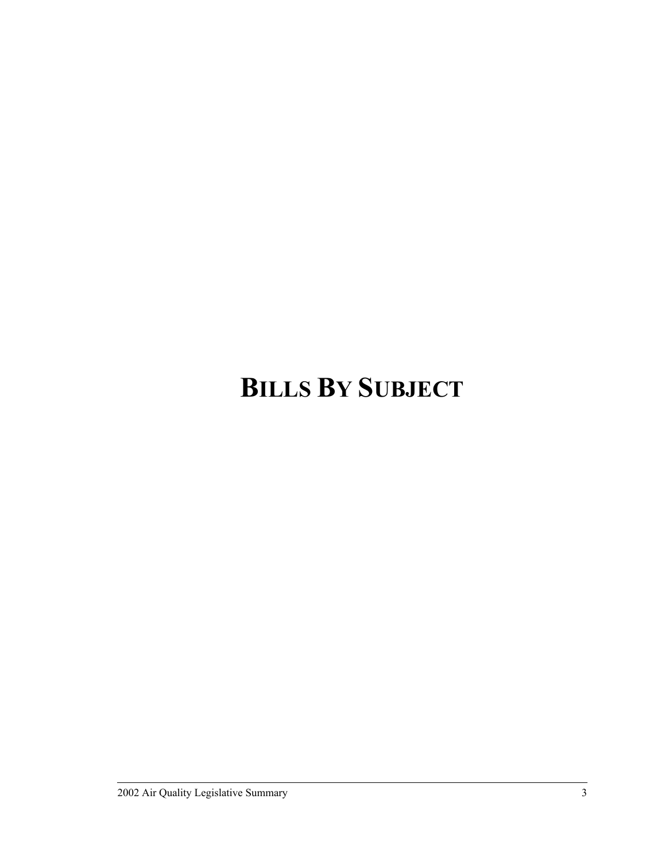# **BILLS BY SUBJECT**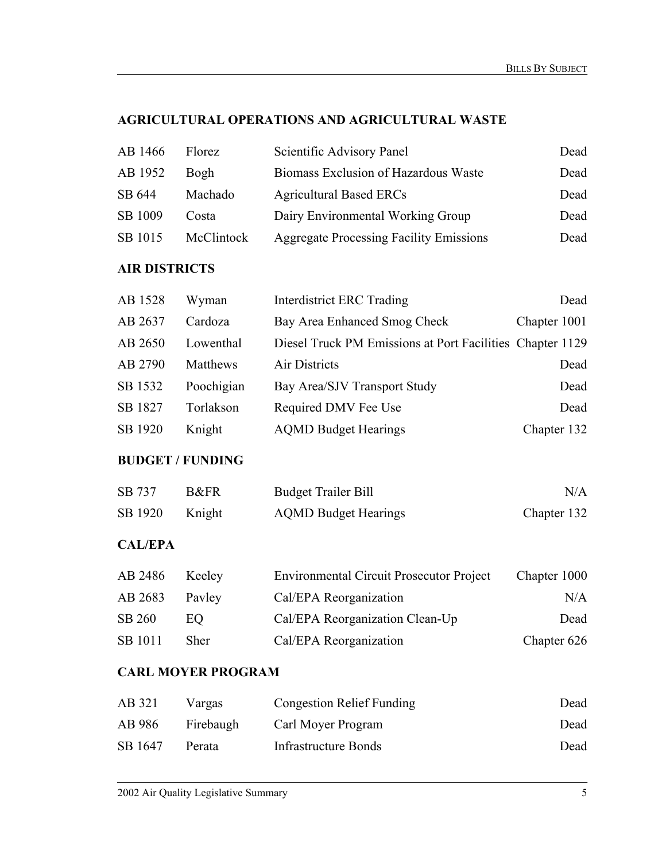## **AGRICULTURAL OPERATIONS AND AGRICULTURAL WASTE**

| AB 1466 | <b>Florez</b> | Scientific Advisory Panel                      | Dead |
|---------|---------------|------------------------------------------------|------|
| AB 1952 | Bogh          | Biomass Exclusion of Hazardous Waste           | Dead |
| SB 644  | Machado       | <b>Agricultural Based ERCs</b>                 | Dead |
| SB 1009 | Costa         | Dairy Environmental Working Group              | Dead |
| SB 1015 | McClintock    | <b>Aggregate Processing Facility Emissions</b> | Dead |

#### **AIR DISTRICTS**

| AB 1528 | Wyman      | <b>Interdistrict ERC Trading</b>                          | Dead         |
|---------|------------|-----------------------------------------------------------|--------------|
| AB 2637 | Cardoza    | Bay Area Enhanced Smog Check                              | Chapter 1001 |
| AB 2650 | Lowenthal  | Diesel Truck PM Emissions at Port Facilities Chapter 1129 |              |
| AB 2790 | Matthews   | Air Districts                                             | Dead         |
| SB 1532 | Poochigian | Bay Area/SJV Transport Study                              | Dead         |
| SB 1827 | Torlakson  | Required DMV Fee Use                                      | Dead         |
| SB 1920 | Knight     | <b>AQMD Budget Hearings</b>                               | Chapter 132  |

#### **BUDGET / FUNDING**

| SB 737  | B&FR   | <b>Budget Trailer Bill</b>  | N/A         |
|---------|--------|-----------------------------|-------------|
| SB 1920 | Knight | <b>AQMD Budget Hearings</b> | Chapter 132 |

#### **CAL/EPA**

| AB 2486 | Keeley      | <b>Environmental Circuit Prosecutor Project</b> | Chapter 1000 |
|---------|-------------|-------------------------------------------------|--------------|
| AB 2683 | Payley      | Cal/EPA Reorganization                          | N/A          |
| SB 260  | EO.         | Cal/EPA Reorganization Clean-Up                 | Dead         |
| SB 1011 | <b>Sher</b> | Cal/EPA Reorganization                          | Chapter 626  |

## **CARL MOYER PROGRAM**

| AB 321  | Vargas    | <b>Congestion Relief Funding</b> | Dead |
|---------|-----------|----------------------------------|------|
| AB 986  | Firebaugh | Carl Moyer Program               | Dead |
| SB 1647 | Perata    | <b>Infrastructure Bonds</b>      | Dead |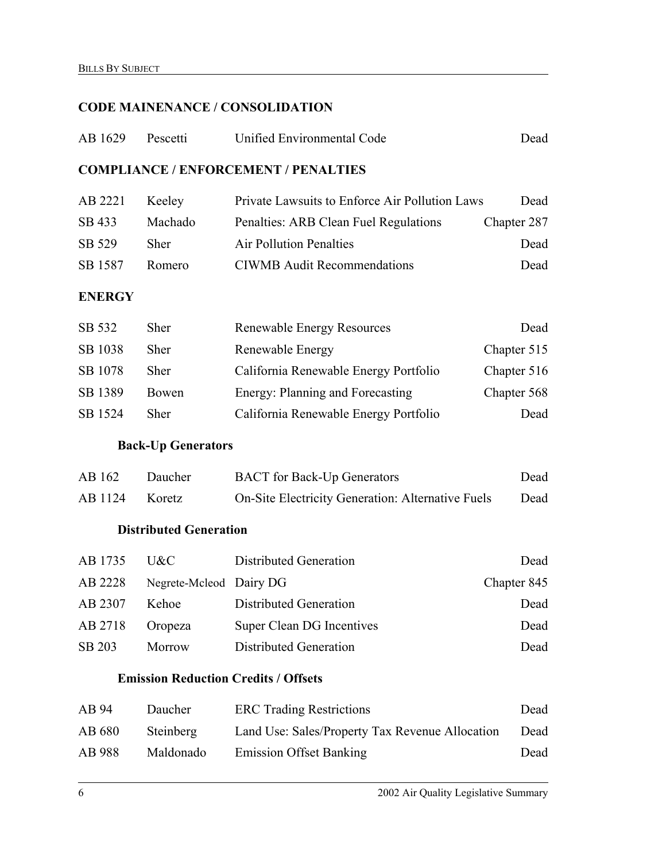## **CODE MAINENANCE / CONSOLIDATION**

| AB 1629       | Pescetti                      | Unified Environmental Code                        | Dead        |
|---------------|-------------------------------|---------------------------------------------------|-------------|
|               |                               | <b>COMPLIANCE / ENFORCEMENT / PENALTIES</b>       |             |
| AB 2221       | Keeley                        | Private Lawsuits to Enforce Air Pollution Laws    | Dead        |
| SB 433        | Machado                       | Penalties: ARB Clean Fuel Regulations             | Chapter 287 |
| SB 529        | Sher                          | <b>Air Pollution Penalties</b>                    | Dead        |
| SB 1587       | Romero                        | <b>CIWMB</b> Audit Recommendations                | Dead        |
| <b>ENERGY</b> |                               |                                                   |             |
| SB 532        | Sher                          | <b>Renewable Energy Resources</b>                 | Dead        |
| SB 1038       | Sher                          | Renewable Energy                                  | Chapter 515 |
| SB 1078       | Sher                          | California Renewable Energy Portfolio             | Chapter 516 |
| SB 1389       | Bowen                         | Energy: Planning and Forecasting                  | Chapter 568 |
| SB 1524       | Sher                          | California Renewable Energy Portfolio             | Dead        |
|               | <b>Back-Up Generators</b>     |                                                   |             |
| AB 162        | Daucher                       | <b>BACT</b> for Back-Up Generators                | Dead        |
| AB 1124       | Koretz                        | On-Site Electricity Generation: Alternative Fuels | Dead        |
|               | <b>Distributed Generation</b> |                                                   |             |
| AB 1735       | U&C                           | <b>Distributed Generation</b>                     | Dead        |
| AB 2228       | Negrete-Mcleod Dairy DG       |                                                   | Chapter 845 |
| AB 2307       | Kehoe                         | <b>Distributed Generation</b>                     | Dead        |
| AB 2718       | Oropeza                       | Super Clean DG Incentives                         | Dead        |
| SB 203        | Morrow                        | <b>Distributed Generation</b>                     | Dead        |
|               |                               | <b>Emission Reduction Credits / Offsets</b>       |             |
| AB 94         | Daucher                       | <b>ERC</b> Trading Restrictions                   | Dead        |
| AB 680        | Steinberg                     | Land Use: Sales/Property Tax Revenue Allocation   | Dead        |
| AB 988        | Maldonado                     | <b>Emission Offset Banking</b>                    | Dead        |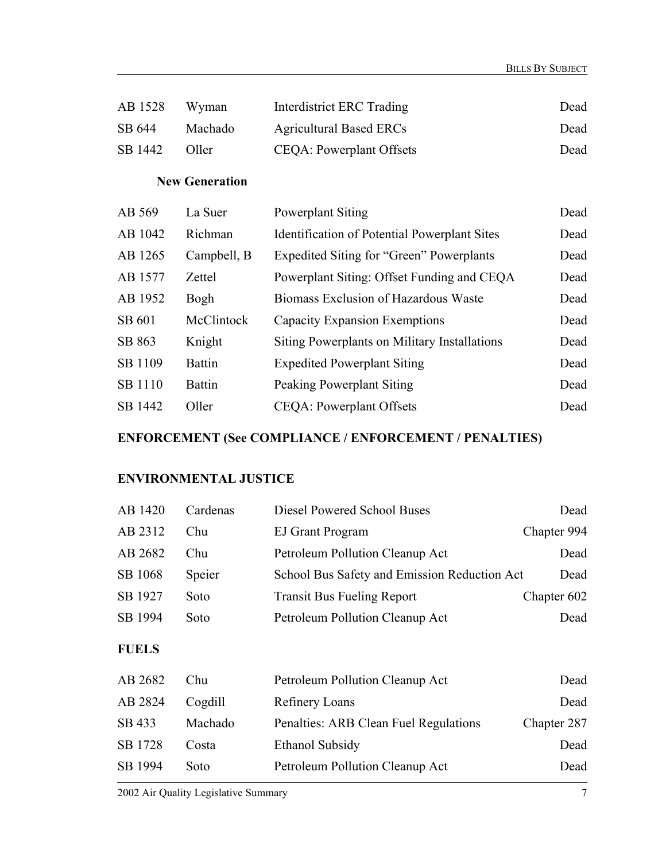| AB 1528 | Wyman   | Interdistrict ERC Trading      | Dead |
|---------|---------|--------------------------------|------|
| SB 644  | Machado | <b>Agricultural Based ERCs</b> | Dead |
| SB 1442 | Oller   | CEQA: Powerplant Offsets       | Dead |

## **New Generation**

| AB 569  | La Suer       | Powerplant Siting                                   | Dead |
|---------|---------------|-----------------------------------------------------|------|
| AB 1042 | Richman       | <b>Identification of Potential Powerplant Sites</b> | Dead |
| AB 1265 | Campbell, B   | Expedited Siting for "Green" Powerplants            | Dead |
| AB 1577 | Zettel        | Powerplant Siting: Offset Funding and CEQA          | Dead |
| AB 1952 | Bogh          | Biomass Exclusion of Hazardous Waste                | Dead |
| SB 601  | McClintock    | Capacity Expansion Exemptions                       | Dead |
| SB 863  | Knight        | Siting Powerplants on Military Installations        | Dead |
| SB 1109 | <b>Battin</b> | <b>Expedited Powerplant Siting</b>                  | Dead |
| SB 1110 | <b>Battin</b> | Peaking Powerplant Siting                           | Dead |
| SB 1442 | Oller         | <b>CEQA:</b> Powerplant Offsets                     | Dead |

## **ENFORCEMENT (See COMPLIANCE / ENFORCEMENT / PENALTIES)**

#### **ENVIRONMENTAL JUSTICE**

| AB 1420      | Cardenas | Diesel Powered School Buses                  | Dead        |
|--------------|----------|----------------------------------------------|-------------|
| AB 2312      | Chu      | <b>EJ Grant Program</b>                      | Chapter 994 |
| AB 2682      | Chu      | Petroleum Pollution Cleanup Act              | Dead        |
| SB 1068      | Speier   | School Bus Safety and Emission Reduction Act | Dead        |
| SB 1927      | Soto     | <b>Transit Bus Fueling Report</b>            | Chapter 602 |
| SB 1994      | Soto     | Petroleum Pollution Cleanup Act              | Dead        |
| <b>FUELS</b> |          |                                              |             |
| AB 2682      | Chu      | Petroleum Pollution Cleanup Act              | Dead        |
| AB 2824      | Cogdill  | <b>Refinery Loans</b>                        | Dead        |
| SB 433       | Machado  | Penalties: ARB Clean Fuel Regulations        | Chapter 287 |
| SB 1728      | Costa    | <b>Ethanol Subsidy</b>                       | Dead        |
| SB 1994      | Soto     | Petroleum Pollution Cleanup Act              | Dead        |
|              |          |                                              |             |

2002 Air Quality Legislative Summary 7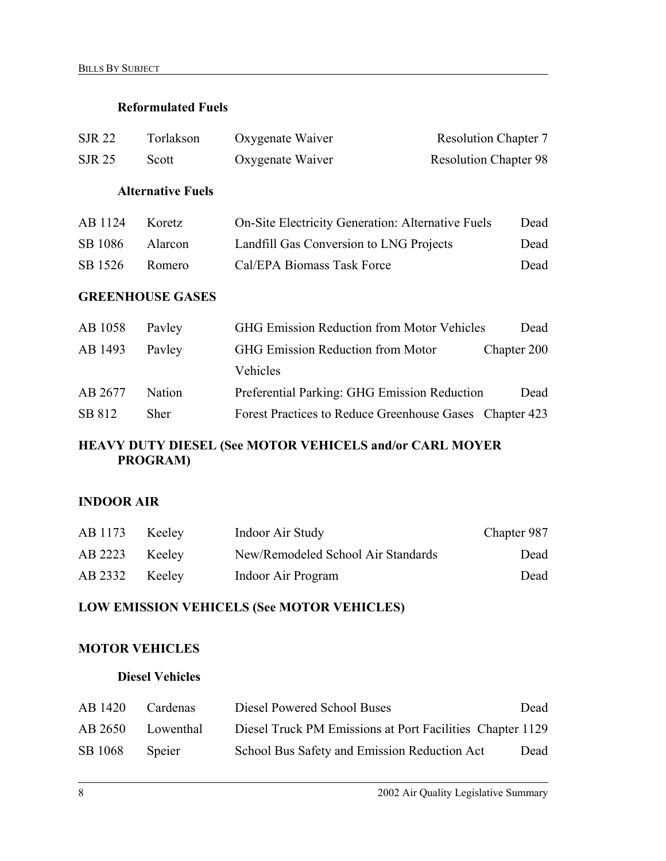#### **Reformulated Fuels**

| <b>SJR 22</b> | Torlakson                | Oxygenate Waiver                                         | <b>Resolution Chapter 7</b>  |
|---------------|--------------------------|----------------------------------------------------------|------------------------------|
| <b>SJR 25</b> | Scott                    | Oxygenate Waiver                                         | <b>Resolution Chapter 98</b> |
|               | <b>Alternative Fuels</b> |                                                          |                              |
| AB 1124       | Koretz                   | <b>On-Site Electricity Generation: Alternative Fuels</b> | Dead                         |
| SB 1086       | Alarcon                  | Landfill Gas Conversion to LNG Projects                  | Dead                         |
| SB 1526       | Romero                   | Cal/EPA Biomass Task Force                               | Dead                         |
|               | <b>GREENHOUSE GASES</b>  |                                                          |                              |
| AB 1058       | Payley                   | <b>GHG Emission Reduction from Motor Vehicles</b>        | Dead                         |
| AB 1493       | Payley                   | <b>GHG Emission Reduction from Motor</b>                 | Chapter 200                  |
|               |                          | Vehicles                                                 |                              |
| AB 2677       | Nation                   | Preferential Parking: GHG Emission Reduction             | Dead                         |
| SB 812        | Sher                     | Forest Practices to Reduce Greenhouse Gases Chapter 423  |                              |

#### **HEAVY DUTY DIESEL (See MOTOR VEHICELS and/or CARL MOYER PROGRAM)**

#### **INDOOR AIR**

| AB 1173        | Keelev | Indoor Air Study                   | Chapter 987 |
|----------------|--------|------------------------------------|-------------|
| AB 2223 Keeley |        | New/Remodeled School Air Standards | Dead        |
| AB 2332        | Keelev | Indoor Air Program                 | Dead        |

## **LOW EMISSION VEHICELS (See MOTOR VEHICLES)**

#### **MOTOR VEHICLES**

#### **Diesel Vehicles**

| AB 1420 | Cardenas  | Diesel Powered School Buses                               | Dead |
|---------|-----------|-----------------------------------------------------------|------|
| AB 2650 | Lowenthal | Diesel Truck PM Emissions at Port Facilities Chapter 1129 |      |
| SB 1068 | Speier    | School Bus Safety and Emission Reduction Act              | Dead |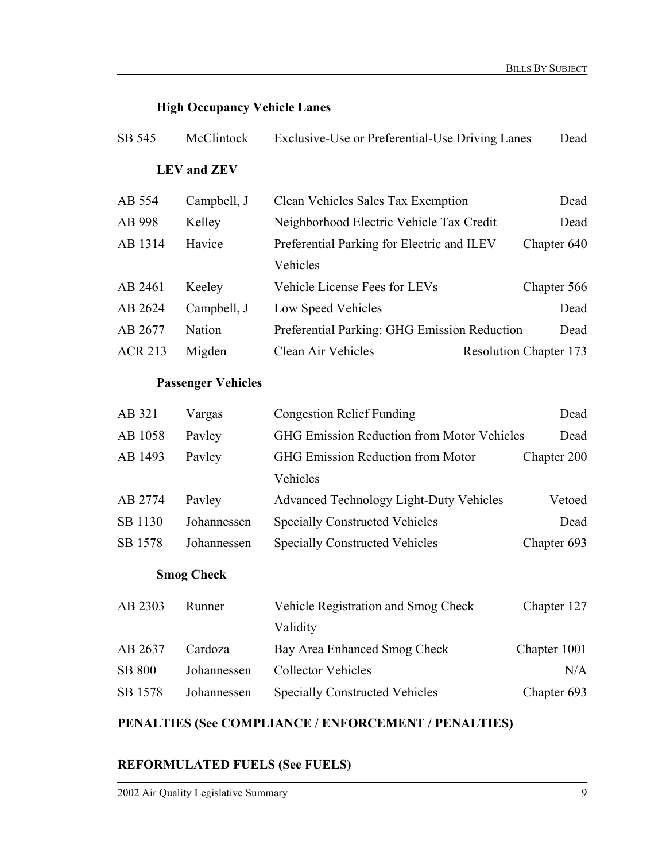## **High Occupancy Vehicle Lanes**

| SB 545         | McClintock                | Exclusive-Use or Preferential-Use Driving Lanes        | Dead                          |
|----------------|---------------------------|--------------------------------------------------------|-------------------------------|
|                | <b>LEV</b> and <b>ZEV</b> |                                                        |                               |
| AB 554         | Campbell, J               | Clean Vehicles Sales Tax Exemption                     | Dead                          |
| AB 998         | Kelley                    | Neighborhood Electric Vehicle Tax Credit               | Dead                          |
| AB 1314        | Havice                    | Preferential Parking for Electric and ILEV<br>Vehicles | Chapter 640                   |
| AB 2461        | Keeley                    | Vehicle License Fees for LEVs                          | Chapter 566                   |
| AB 2624        | Campbell, J               | Low Speed Vehicles                                     | Dead                          |
| AB 2677        | Nation                    | Preferential Parking: GHG Emission Reduction           | Dead                          |
| <b>ACR 213</b> | Migden                    | Clean Air Vehicles                                     | <b>Resolution Chapter 173</b> |
|                | <b>Passenger Vehicles</b> |                                                        |                               |
| AB 321         | Vargas                    | <b>Congestion Relief Funding</b>                       | Dead                          |
| AB 1058        | Pavley                    | <b>GHG Emission Reduction from Motor Vehicles</b>      | Dead                          |
| AB 1493        | Pavley                    | GHG Emission Reduction from Motor                      | Chapter 200                   |
|                |                           | Vehicles                                               |                               |
| AB 2774        | Pavley                    | Advanced Technology Light-Duty Vehicles                | Vetoed                        |
| SB 1130        | Johannessen               | <b>Specially Constructed Vehicles</b>                  | Dead                          |
| SB 1578        | Johannessen               | <b>Specially Constructed Vehicles</b>                  | Chapter 693                   |
|                | <b>Smog Check</b>         |                                                        |                               |
| AB 2303        | Runner                    | Vehicle Registration and Smog Check<br>Validity        | Chapter 127                   |
| AB 2637        | Cardoza                   | Bay Area Enhanced Smog Check                           | Chapter 1001                  |
| <b>SB 800</b>  | Johannessen               | <b>Collector Vehicles</b>                              | N/A                           |
| SB 1578        | Johannessen               | <b>Specially Constructed Vehicles</b>                  | Chapter 693                   |

## **PENALTIES (See COMPLIANCE / ENFORCEMENT / PENALTIES)**

#### **REFORMULATED FUELS (See FUELS)**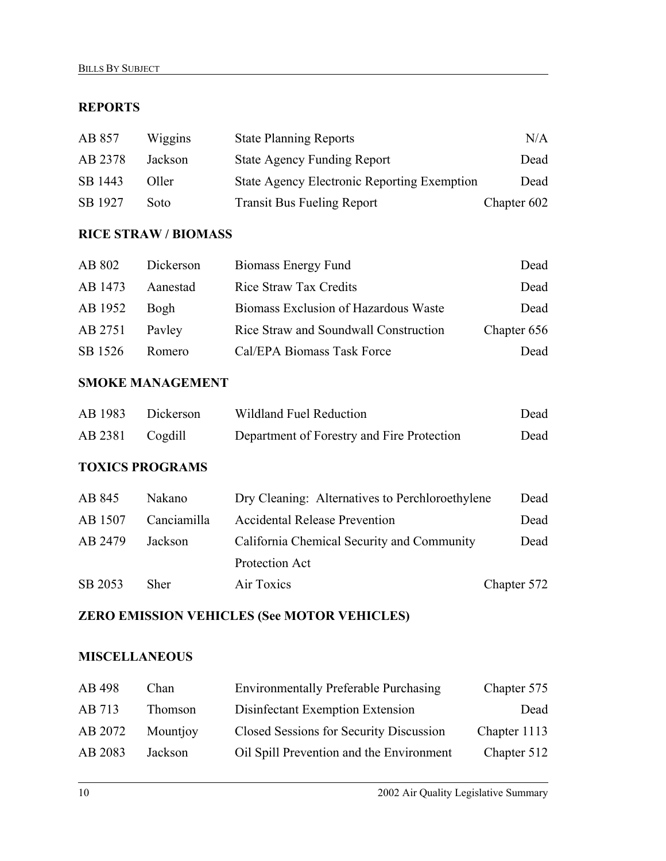#### **REPORTS**

| AB 857  | Wiggins | <b>State Planning Reports</b>                      | N/A         |
|---------|---------|----------------------------------------------------|-------------|
| AB 2378 | Jackson | <b>State Agency Funding Report</b>                 | Dead        |
| SB 1443 | Oller   | <b>State Agency Electronic Reporting Exemption</b> | Dead        |
| SB 1927 | Soto    | <b>Transit Bus Fueling Report</b>                  | Chapter 602 |

#### **RICE STRAW / BIOMASS**

| AB 802  | Dickerson | Biomass Energy Fund                   | Dead        |
|---------|-----------|---------------------------------------|-------------|
| AB 1473 | Aanestad  | Rice Straw Tax Credits                | Dead        |
| AB 1952 | Bogh      | Biomass Exclusion of Hazardous Waste  | Dead        |
| AB 2751 | Payley    | Rice Straw and Soundwall Construction | Chapter 656 |
| SB 1526 | Romero    | Cal/EPA Biomass Task Force            | Dead        |

#### **SMOKE MANAGEMENT**

| AB 1983 | <b>Dickerson</b> | Wildland Fuel Reduction                    | Dead |
|---------|------------------|--------------------------------------------|------|
| AB 2381 | Cogdill          | Department of Forestry and Fire Protection | Dead |

#### **TOXICS PROGRAMS**

| Nakano      | Dry Cleaning: Alternatives to Perchloroethylene | Dead        |
|-------------|-------------------------------------------------|-------------|
| Canciamilla | <b>Accidental Release Prevention</b>            | Dead        |
| Jackson     | California Chemical Security and Community      | Dead        |
|             | Protection Act                                  |             |
| Sher        | Air Toxics                                      | Chapter 572 |
|             |                                                 |             |

#### **ZERO EMISSION VEHICLES (See MOTOR VEHICLES)**

#### **MISCELLANEOUS**

| AB 498  | Chan     | <b>Environmentally Preferable Purchasing</b> | Chapter 575  |
|---------|----------|----------------------------------------------|--------------|
| AB 713  | Thomson  | Disinfectant Exemption Extension             | Dead         |
| AB 2072 | Mountjoy | Closed Sessions for Security Discussion      | Chapter 1113 |
| AB 2083 | Jackson  | Oil Spill Prevention and the Environment     | Chapter 512  |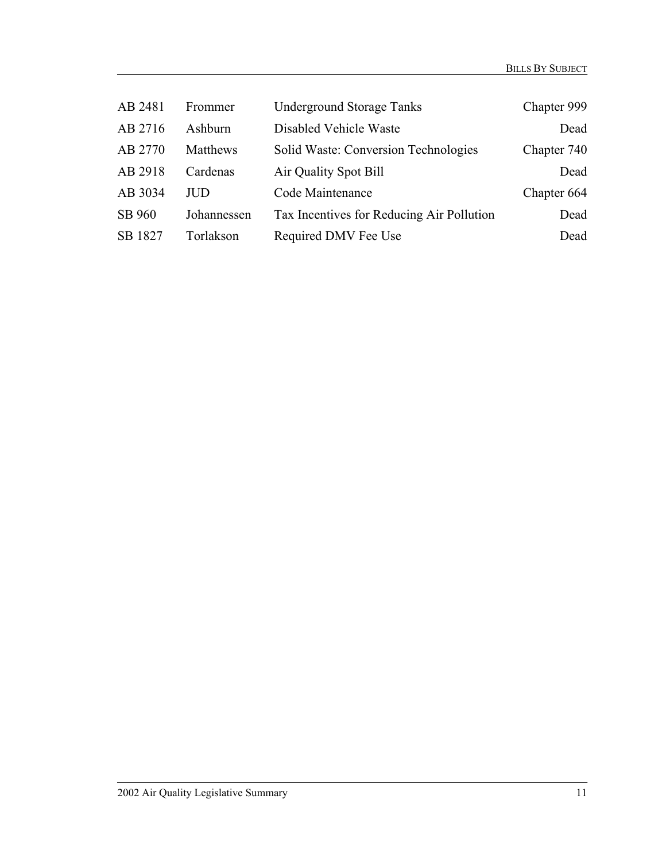| AB 2481 | Frommer     | <b>Underground Storage Tanks</b>          | Chapter 999 |
|---------|-------------|-------------------------------------------|-------------|
| AB 2716 | Ashburn     | Disabled Vehicle Waste                    | Dead        |
| AB 2770 | Matthews    | Solid Waste: Conversion Technologies      | Chapter 740 |
| AB 2918 | Cardenas    | Air Quality Spot Bill                     | Dead        |
| AB 3034 | <b>JUD</b>  | Code Maintenance                          | Chapter 664 |
| SB 960  | Johannessen | Tax Incentives for Reducing Air Pollution | Dead        |
| SB 1827 | Torlakson   | Required DMV Fee Use                      | Dead        |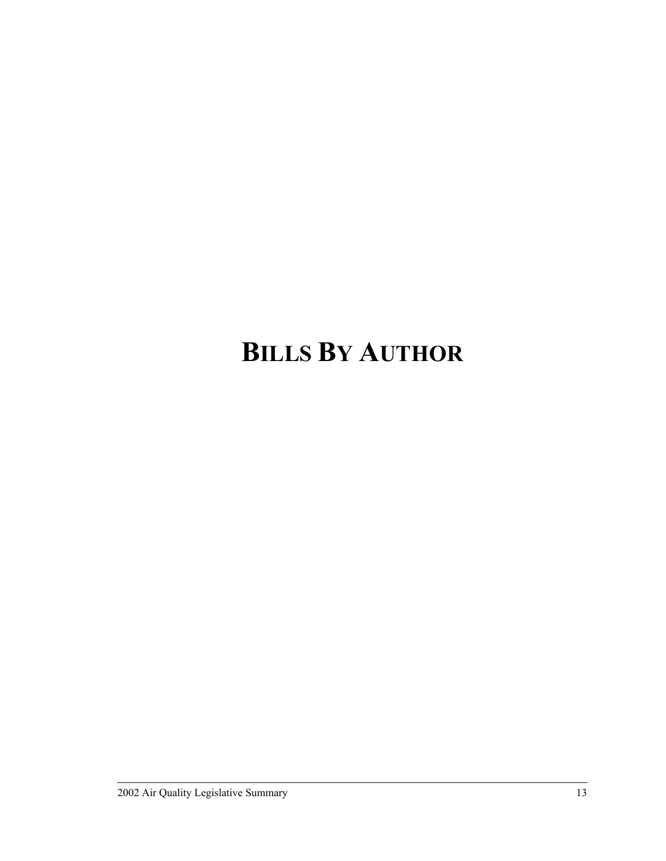# **BILLS BY AUTHOR**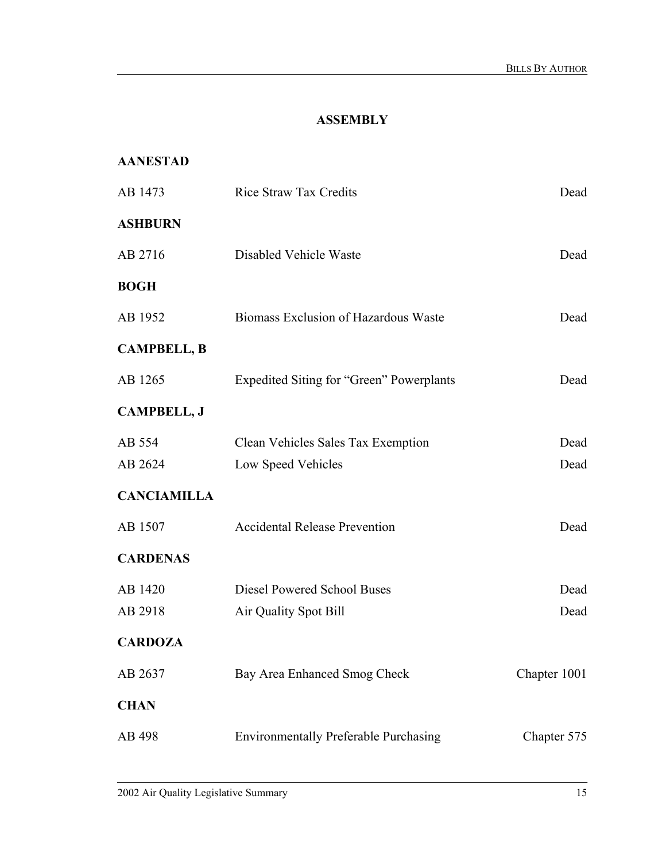## **ASSEMBLY**

#### **AANESTAD**

| AB 1473            | <b>Rice Straw Tax Credits</b>                   | Dead         |
|--------------------|-------------------------------------------------|--------------|
| <b>ASHBURN</b>     |                                                 |              |
| AB 2716            | Disabled Vehicle Waste                          | Dead         |
| <b>BOGH</b>        |                                                 |              |
| AB 1952            | Biomass Exclusion of Hazardous Waste            | Dead         |
| <b>CAMPBELL, B</b> |                                                 |              |
| AB 1265            | <b>Expedited Siting for "Green" Powerplants</b> | Dead         |
| <b>CAMPBELL, J</b> |                                                 |              |
| AB 554             | Clean Vehicles Sales Tax Exemption              | Dead         |
| AB 2624            | Low Speed Vehicles                              | Dead         |
| <b>CANCIAMILLA</b> |                                                 |              |
| AB 1507            | <b>Accidental Release Prevention</b>            | Dead         |
| <b>CARDENAS</b>    |                                                 |              |
| AB 1420            | <b>Diesel Powered School Buses</b>              | Dead         |
| AB 2918            | Air Quality Spot Bill                           | Dead         |
| <b>CARDOZA</b>     |                                                 |              |
| AB 2637            | Bay Area Enhanced Smog Check                    | Chapter 1001 |
| <b>CHAN</b>        |                                                 |              |
| AB 498             | <b>Environmentally Preferable Purchasing</b>    | Chapter 575  |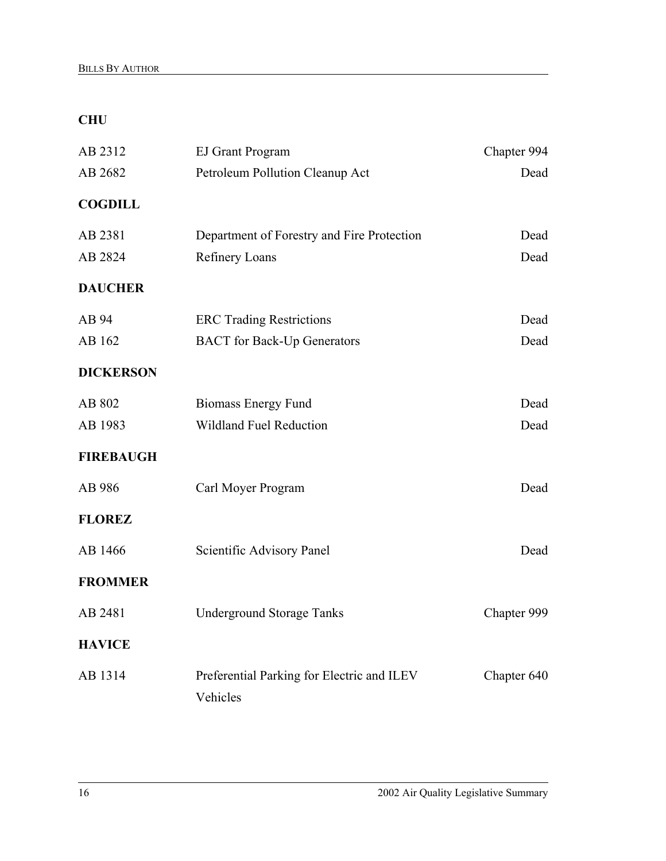## **CHU**

| AB 2312          | <b>EJ Grant Program</b>                                | Chapter 994 |
|------------------|--------------------------------------------------------|-------------|
| AB 2682          | Petroleum Pollution Cleanup Act                        | Dead        |
| <b>COGDILL</b>   |                                                        |             |
| AB 2381          | Department of Forestry and Fire Protection             | Dead        |
| AB 2824          | <b>Refinery Loans</b>                                  | Dead        |
| <b>DAUCHER</b>   |                                                        |             |
| AB 94            | <b>ERC Trading Restrictions</b>                        | Dead        |
| AB 162           | <b>BACT</b> for Back-Up Generators                     | Dead        |
| <b>DICKERSON</b> |                                                        |             |
| AB 802           | <b>Biomass Energy Fund</b>                             | Dead        |
| AB 1983          | <b>Wildland Fuel Reduction</b>                         | Dead        |
| <b>FIREBAUGH</b> |                                                        |             |
| AB 986           | Carl Moyer Program                                     | Dead        |
| <b>FLOREZ</b>    |                                                        |             |
| AB 1466          | Scientific Advisory Panel                              | Dead        |
| <b>FROMMER</b>   |                                                        |             |
| AB 2481          | <b>Underground Storage Tanks</b>                       | Chapter 999 |
| <b>HAVICE</b>    |                                                        |             |
| AB 1314          | Preferential Parking for Electric and ILEV<br>Vehicles | Chapter 640 |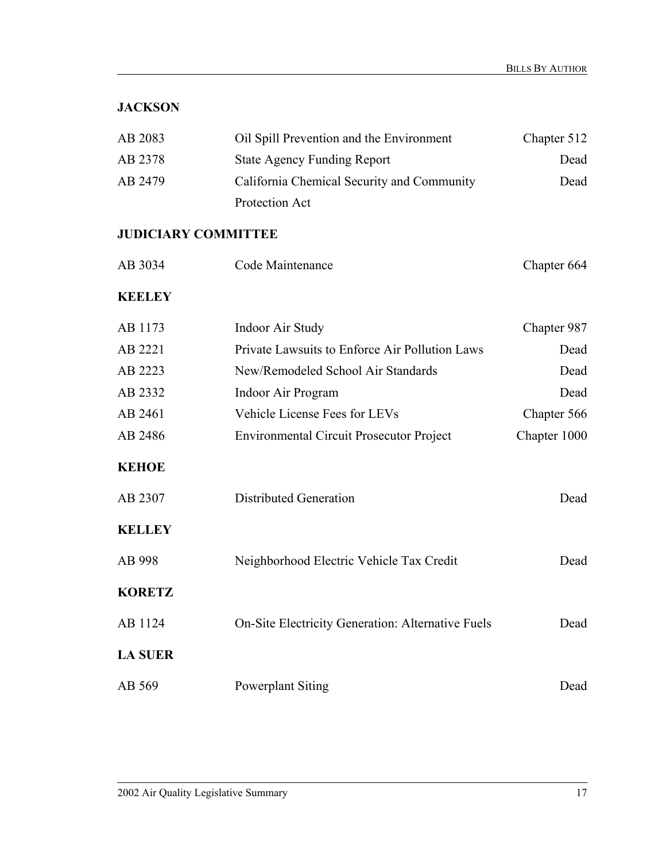## **JACKSON**

| AB 2083 | Oil Spill Prevention and the Environment   | Chapter 512 |
|---------|--------------------------------------------|-------------|
| AB 2378 | <b>State Agency Funding Report</b>         | Dead        |
| AB 2479 | California Chemical Security and Community | Dead        |
|         | Protection Act                             |             |

#### **JUDICIARY COMMITTEE**

| AB 3034        | Code Maintenance                                  | Chapter 664  |
|----------------|---------------------------------------------------|--------------|
| <b>KEELEY</b>  |                                                   |              |
| AB 1173        | Indoor Air Study                                  | Chapter 987  |
| AB 2221        | Private Lawsuits to Enforce Air Pollution Laws    | Dead         |
| AB 2223        | New/Remodeled School Air Standards                | Dead         |
| AB 2332        | Indoor Air Program                                | Dead         |
| AB 2461        | Vehicle License Fees for LEVs                     | Chapter 566  |
| AB 2486        | <b>Environmental Circuit Prosecutor Project</b>   | Chapter 1000 |
| <b>KEHOE</b>   |                                                   |              |
| AB 2307        | <b>Distributed Generation</b>                     | Dead         |
| <b>KELLEY</b>  |                                                   |              |
| AB 998         | Neighborhood Electric Vehicle Tax Credit          | Dead         |
| <b>KORETZ</b>  |                                                   |              |
| AB 1124        | On-Site Electricity Generation: Alternative Fuels | Dead         |
| <b>LA SUER</b> |                                                   |              |
| AB 569         | <b>Powerplant Siting</b>                          | Dead         |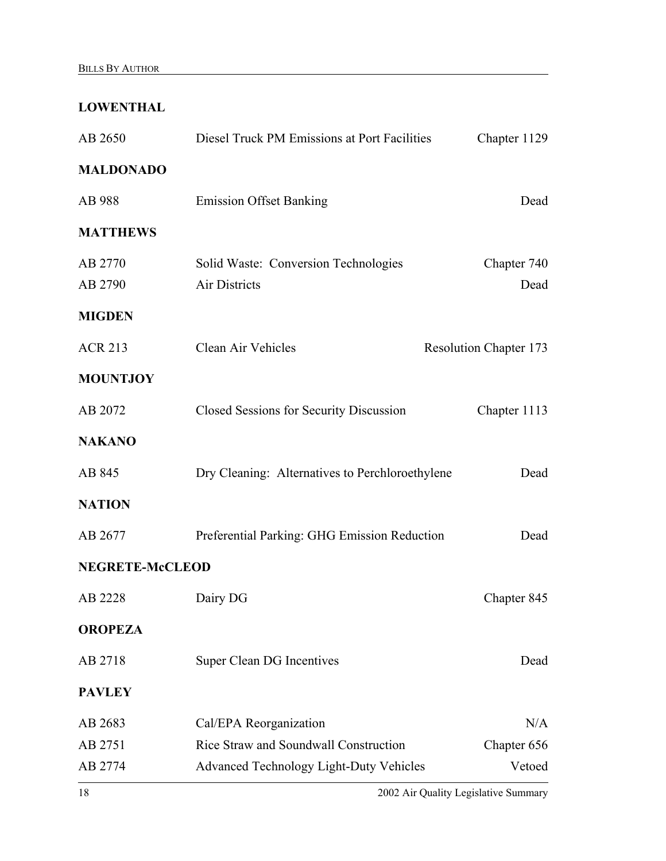## **LOWENTHAL**

| AB 2650                | Diesel Truck PM Emissions at Port Facilities    | Chapter 1129                  |
|------------------------|-------------------------------------------------|-------------------------------|
| <b>MALDONADO</b>       |                                                 |                               |
| AB 988                 | <b>Emission Offset Banking</b>                  | Dead                          |
| <b>MATTHEWS</b>        |                                                 |                               |
| AB 2770                | Solid Waste: Conversion Technologies            | Chapter 740                   |
| AB 2790                | <b>Air Districts</b>                            | Dead                          |
| <b>MIGDEN</b>          |                                                 |                               |
| <b>ACR 213</b>         | Clean Air Vehicles                              | <b>Resolution Chapter 173</b> |
| <b>MOUNTJOY</b>        |                                                 |                               |
| AB 2072                | Closed Sessions for Security Discussion         | Chapter 1113                  |
| <b>NAKANO</b>          |                                                 |                               |
| AB 845                 | Dry Cleaning: Alternatives to Perchloroethylene | Dead                          |
| <b>NATION</b>          |                                                 |                               |
| AB 2677                | Preferential Parking: GHG Emission Reduction    | Dead                          |
| <b>NEGRETE-McCLEOD</b> |                                                 |                               |
| AB 2228                | Dairy DG                                        | Chapter 845                   |
| <b>OROPEZA</b>         |                                                 |                               |
| AB 2718                | <b>Super Clean DG Incentives</b>                | Dead                          |
| <b>PAVLEY</b>          |                                                 |                               |
| AB 2683                | Cal/EPA Reorganization                          | N/A                           |
| AB 2751                | Rice Straw and Soundwall Construction           | Chapter 656                   |
| AB 2774                | <b>Advanced Technology Light-Duty Vehicles</b>  | Vetoed                        |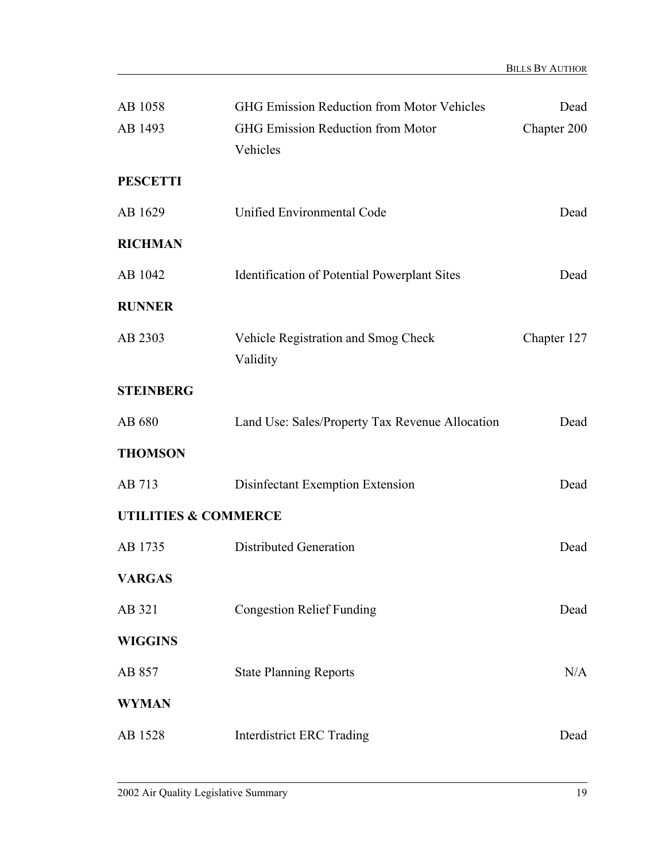| AB 1058<br>AB 1493              | <b>GHG Emission Reduction from Motor Vehicles</b><br><b>GHG Emission Reduction from Motor</b><br>Vehicles | Dead<br>Chapter 200 |
|---------------------------------|-----------------------------------------------------------------------------------------------------------|---------------------|
| <b>PESCETTI</b>                 |                                                                                                           |                     |
| AB 1629                         | Unified Environmental Code                                                                                | Dead                |
| <b>RICHMAN</b>                  |                                                                                                           |                     |
| AB 1042                         | <b>Identification of Potential Powerplant Sites</b>                                                       | Dead                |
| <b>RUNNER</b>                   |                                                                                                           |                     |
| AB 2303                         | Vehicle Registration and Smog Check<br>Validity                                                           | Chapter 127         |
| <b>STEINBERG</b>                |                                                                                                           |                     |
| AB 680                          | Land Use: Sales/Property Tax Revenue Allocation                                                           | Dead                |
| <b>THOMSON</b>                  |                                                                                                           |                     |
| AB 713                          | Disinfectant Exemption Extension                                                                          | Dead                |
| <b>UTILITIES &amp; COMMERCE</b> |                                                                                                           |                     |
| AB 1735                         | <b>Distributed Generation</b>                                                                             | Dead                |
| <b>VARGAS</b>                   |                                                                                                           |                     |
| AB 321                          | <b>Congestion Relief Funding</b>                                                                          | Dead                |
| <b>WIGGINS</b>                  |                                                                                                           |                     |
| AB 857                          | <b>State Planning Reports</b>                                                                             | N/A                 |
| <b>WYMAN</b>                    |                                                                                                           |                     |
| AB 1528                         | <b>Interdistrict ERC Trading</b>                                                                          | Dead                |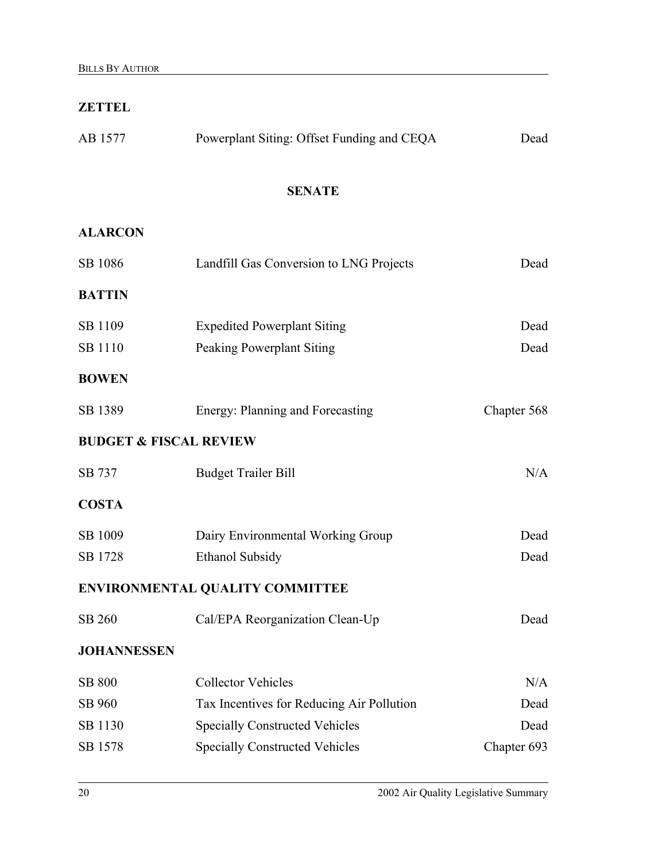#### **ZETTEL**

| AB 1577 | Powerplant Siting: Offset Funding and CEQA | Dead |
|---------|--------------------------------------------|------|
|         | <b>SENATE</b>                              |      |

## **ALARCON**

| SB 1086                           | Landfill Gas Conversion to LNG Projects<br>Dead |             |  |
|-----------------------------------|-------------------------------------------------|-------------|--|
| <b>BATTIN</b>                     |                                                 |             |  |
| SB 1109                           | <b>Expedited Powerplant Siting</b>              | Dead        |  |
| SB 1110                           | <b>Peaking Powerplant Siting</b>                | Dead        |  |
| <b>BOWEN</b>                      |                                                 |             |  |
| SB 1389                           | Energy: Planning and Forecasting                | Chapter 568 |  |
| <b>BUDGET &amp; FISCAL REVIEW</b> |                                                 |             |  |
| SB 737                            | <b>Budget Trailer Bill</b>                      | N/A         |  |
| <b>COSTA</b>                      |                                                 |             |  |
| SB 1009                           | Dairy Environmental Working Group               | Dead        |  |
| SB 1728                           | <b>Ethanol Subsidy</b>                          | Dead        |  |
|                                   | ENVIRONMENTAL QUALITY COMMITTEE                 |             |  |
| SB 260                            | Cal/EPA Reorganization Clean-Up                 | Dead        |  |
| <b>JOHANNESSEN</b>                |                                                 |             |  |
| <b>SB 800</b>                     | <b>Collector Vehicles</b>                       | N/A         |  |
| SB 960                            | Tax Incentives for Reducing Air Pollution       | Dead        |  |
| SB 1130                           | <b>Specially Constructed Vehicles</b>           | Dead        |  |
| SB 1578                           | <b>Specially Constructed Vehicles</b>           | Chapter 693 |  |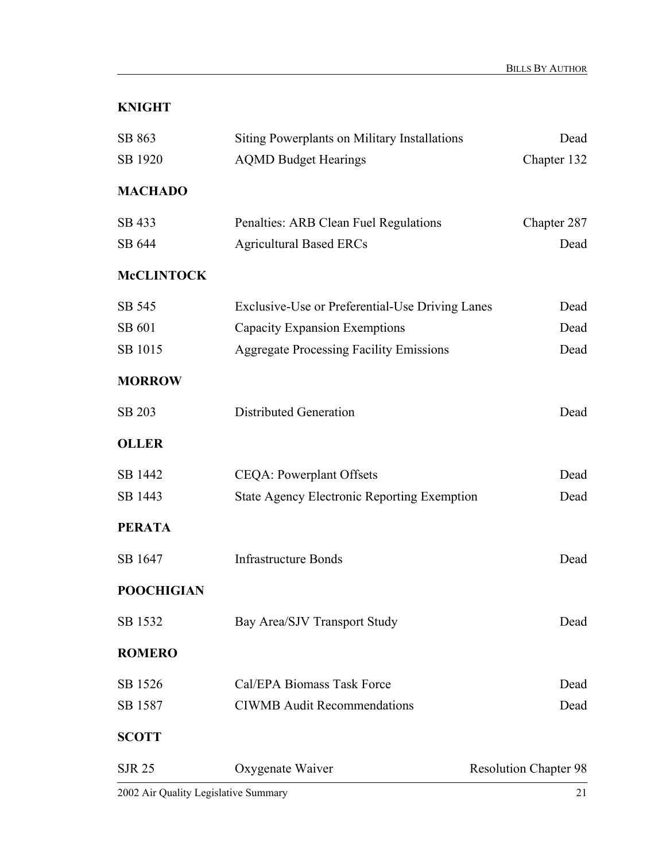## **KNIGHT**

| SB 863            | Siting Powerplants on Military Installations       | Dead                         |
|-------------------|----------------------------------------------------|------------------------------|
| SB 1920           | <b>AQMD Budget Hearings</b>                        | Chapter 132                  |
| <b>MACHADO</b>    |                                                    |                              |
| SB 433            | Penalties: ARB Clean Fuel Regulations              | Chapter 287                  |
| SB 644            | <b>Agricultural Based ERCs</b>                     | Dead                         |
| <b>McCLINTOCK</b> |                                                    |                              |
| SB 545            | Exclusive-Use or Preferential-Use Driving Lanes    | Dead                         |
| SB 601            | <b>Capacity Expansion Exemptions</b>               | Dead                         |
| SB 1015           | <b>Aggregate Processing Facility Emissions</b>     | Dead                         |
| <b>MORROW</b>     |                                                    |                              |
| SB 203            | <b>Distributed Generation</b>                      | Dead                         |
| <b>OLLER</b>      |                                                    |                              |
| SB 1442           | <b>CEQA: Powerplant Offsets</b>                    | Dead                         |
| SB 1443           | <b>State Agency Electronic Reporting Exemption</b> | Dead                         |
| <b>PERATA</b>     |                                                    |                              |
| SB 1647           | <b>Infrastructure Bonds</b>                        | Dead                         |
| <b>POOCHIGIAN</b> |                                                    |                              |
| SB 1532           | Bay Area/SJV Transport Study                       | Dead                         |
| <b>ROMERO</b>     |                                                    |                              |
| SB 1526           | Cal/EPA Biomass Task Force                         | Dead                         |
| SB 1587           | <b>CIWMB</b> Audit Recommendations                 | Dead                         |
| <b>SCOTT</b>      |                                                    |                              |
| <b>SJR 25</b>     | Oxygenate Waiver                                   | <b>Resolution Chapter 98</b> |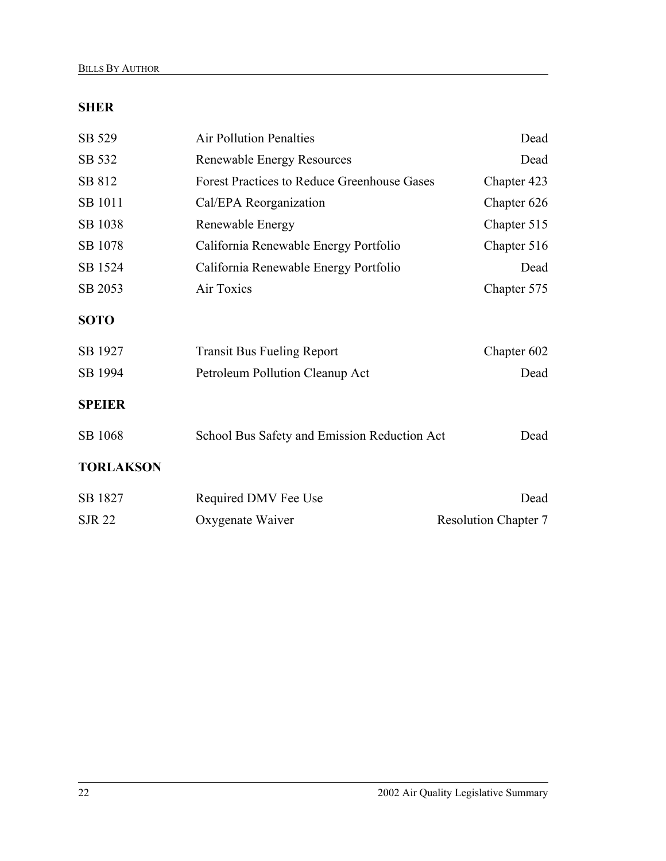## **SHER**

| SB 529           | <b>Air Pollution Penalties</b>                     | Dead                        |
|------------------|----------------------------------------------------|-----------------------------|
| SB 532           | <b>Renewable Energy Resources</b>                  | Dead                        |
| SB 812           | <b>Forest Practices to Reduce Greenhouse Gases</b> | Chapter 423                 |
| SB 1011          | Cal/EPA Reorganization                             | Chapter 626                 |
| SB 1038          | Renewable Energy                                   | Chapter 515                 |
| SB 1078          | California Renewable Energy Portfolio              | Chapter 516                 |
| SB 1524          | California Renewable Energy Portfolio              | Dead                        |
| SB 2053          | Air Toxics                                         | Chapter 575                 |
| <b>SOTO</b>      |                                                    |                             |
| SB 1927          | <b>Transit Bus Fueling Report</b>                  | Chapter 602                 |
| SB 1994          | Petroleum Pollution Cleanup Act                    | Dead                        |
| <b>SPEIER</b>    |                                                    |                             |
| SB 1068          | School Bus Safety and Emission Reduction Act       | Dead                        |
| <b>TORLAKSON</b> |                                                    |                             |
| SB 1827          | Required DMV Fee Use                               | Dead                        |
| <b>SJR 22</b>    | Oxygenate Waiver                                   | <b>Resolution Chapter 7</b> |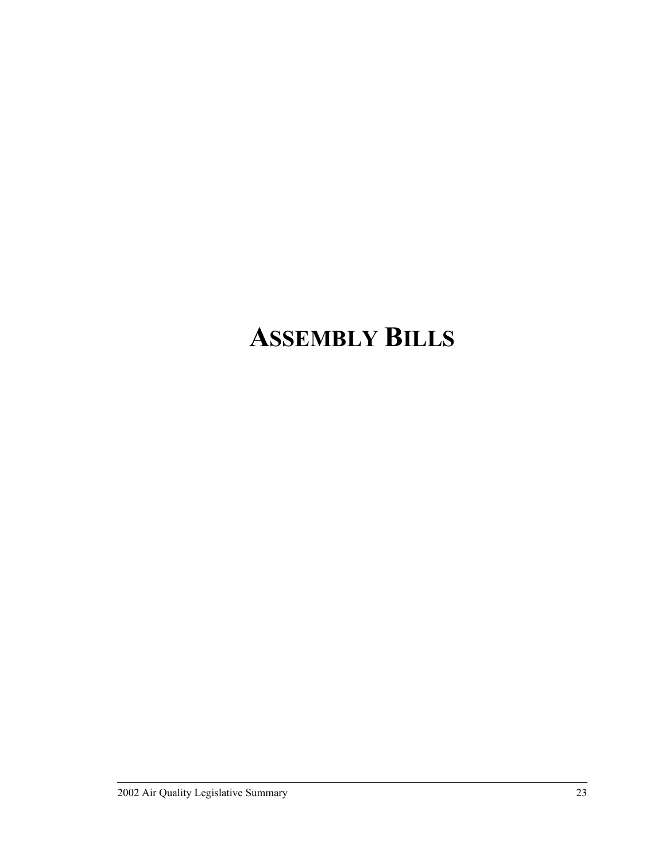## **ASSEMBLY BILLS**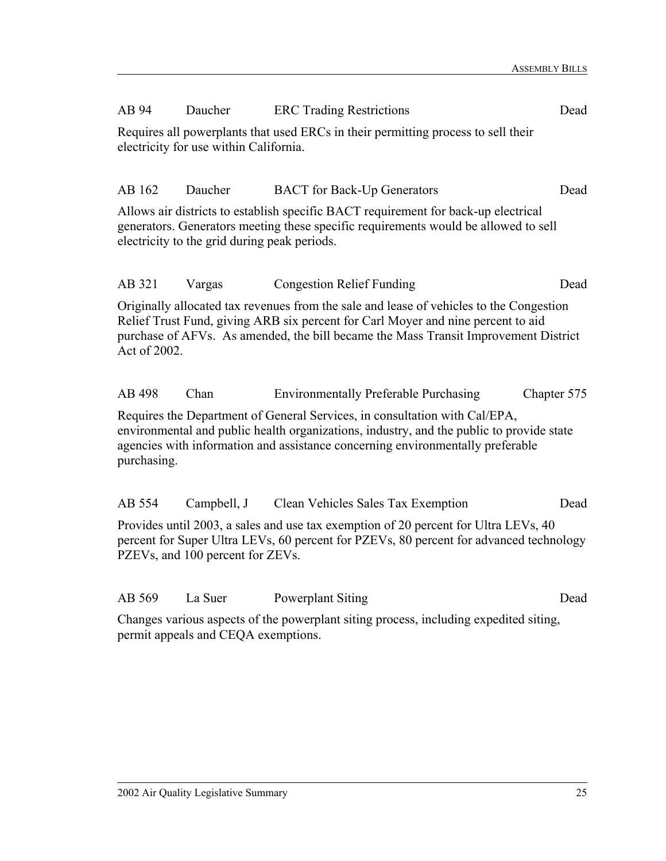| AB 94        | Daucher                                | <b>ERC</b> Trading Restrictions                                                                                                                                                                                                                                    | Dead        |
|--------------|----------------------------------------|--------------------------------------------------------------------------------------------------------------------------------------------------------------------------------------------------------------------------------------------------------------------|-------------|
|              | electricity for use within California. | Requires all powerplants that used ERCs in their permitting process to sell their                                                                                                                                                                                  |             |
| AB 162       | Daucher                                | <b>BACT</b> for Back-Up Generators                                                                                                                                                                                                                                 | Dead        |
|              |                                        | Allows air districts to establish specific BACT requirement for back-up electrical<br>generators. Generators meeting these specific requirements would be allowed to sell<br>electricity to the grid during peak periods.                                          |             |
| AB 321       | Vargas                                 | <b>Congestion Relief Funding</b>                                                                                                                                                                                                                                   | Dead        |
| Act of 2002. |                                        | Originally allocated tax revenues from the sale and lease of vehicles to the Congestion<br>Relief Trust Fund, giving ARB six percent for Carl Moyer and nine percent to aid<br>purchase of AFVs. As amended, the bill became the Mass Transit Improvement District |             |
| AB 498       | Chan                                   | <b>Environmentally Preferable Purchasing</b>                                                                                                                                                                                                                       | Chapter 575 |
| purchasing.  |                                        | Requires the Department of General Services, in consultation with Cal/EPA,<br>environmental and public health organizations, industry, and the public to provide state<br>agencies with information and assistance concerning environmentally preferable           |             |
| AB 554       | Campbell, J                            | Clean Vehicles Sales Tax Exemption                                                                                                                                                                                                                                 | Dead        |
|              |                                        | $D_{\text{meas}}(1, 0, 0, 0)$ and $D_{\text{meas}}(1, 0, 0, 0)$ and $D_{\text{meas}}(1, 0, 0)$ are $D_{\text{meas}}(1, 0, 0, 0)$                                                                                                                                   |             |

Provides until 2003, a sales and use tax exemption of 20 percent for Ultra LEVs, 40 percent for Super Ultra LEVs, 60 percent for PZEVs, 80 percent for advanced technology PZEVs, and 100 percent for ZEVs.

| AB 569 | La Suer | Powerplant Siting | Dead |
|--------|---------|-------------------|------|
|        |         |                   |      |

Changes various aspects of the powerplant siting process, including expedited siting, permit appeals and CEQA exemptions.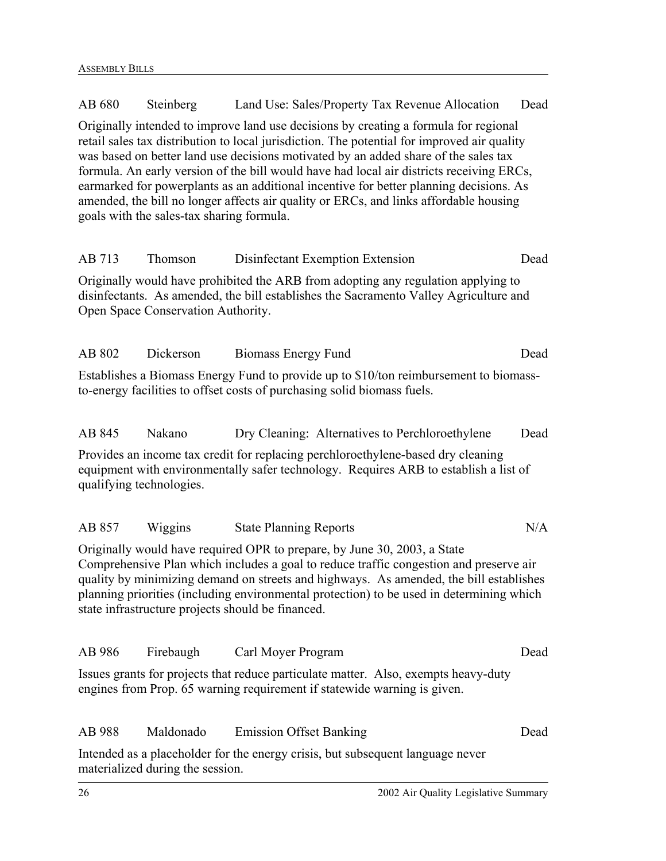AB 680 Steinberg Land Use: Sales/Property Tax Revenue Allocation Dead Originally intended to improve land use decisions by creating a formula for regional retail sales tax distribution to local jurisdiction. The potential for improved air quality was based on better land use decisions motivated by an added share of the sales tax formula. An early version of the bill would have had local air districts receiving ERCs, earmarked for powerplants as an additional incentive for better planning decisions. As amended, the bill no longer affects air quality or ERCs, and links affordable housing goals with the sales-tax sharing formula. AB 713 Thomson Disinfectant Exemption Extension Dead Originally would have prohibited the ARB from adopting any regulation applying to disinfectants. As amended, the bill establishes the Sacramento Valley Agriculture and Open Space Conservation Authority. AB 802 Dickerson Biomass Energy Fund Dead Establishes a Biomass Energy Fund to provide up to \$10/ton reimbursement to biomassto-energy facilities to offset costs of purchasing solid biomass fuels. AB 845 Nakano Dry Cleaning: Alternatives to Perchloroethylene Dead Provides an income tax credit for replacing perchloroethylene-based dry cleaning equipment with environmentally safer technology. Requires ARB to establish a list of qualifying technologies. AB 857 Wiggins State Planning Reports N/A Originally would have required OPR to prepare, by June 30, 2003, a State Comprehensive Plan which includes a goal to reduce traffic congestion and preserve air quality by minimizing demand on streets and highways. As amended, the bill establishes planning priorities (including environmental protection) to be used in determining which state infrastructure projects should be financed. AB 986 Firebaugh Carl Moyer Program Dead Issues grants for projects that reduce particulate matter. Also, exempts heavy-duty engines from Prop. 65 warning requirement if statewide warning is given. AB 988 Maldonado Emission Offset Banking Dead Intended as a placeholder for the energy crisis, but subsequent language never materialized during the session.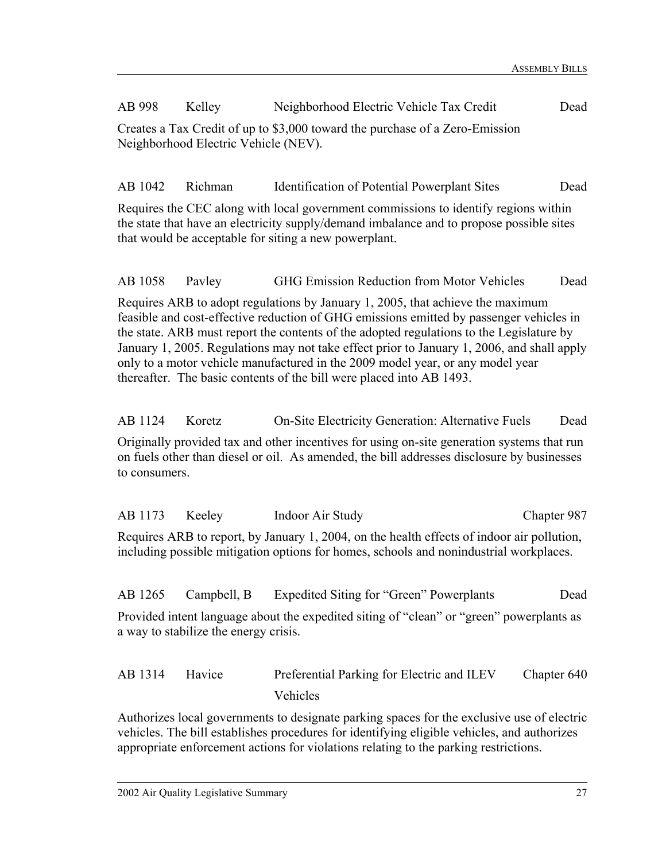AB 998 Kelley Neighborhood Electric Vehicle Tax Credit Dead Creates a Tax Credit of up to \$3,000 toward the purchase of a Zero-Emission Neighborhood Electric Vehicle (NEV).

AB 1042 Richman Identification of Potential Powerplant Sites Dead

Requires the CEC along with local government commissions to identify regions within the state that have an electricity supply/demand imbalance and to propose possible sites that would be acceptable for siting a new powerplant.

AB 1058 Pavley GHG Emission Reduction from Motor Vehicles Dead

Requires ARB to adopt regulations by January 1, 2005, that achieve the maximum feasible and cost-effective reduction of GHG emissions emitted by passenger vehicles in the state. ARB must report the contents of the adopted regulations to the Legislature by January 1, 2005. Regulations may not take effect prior to January 1, 2006, and shall apply only to a motor vehicle manufactured in the 2009 model year, or any model year thereafter. The basic contents of the bill were placed into AB 1493.

AB 1124 Koretz On-Site Electricity Generation: Alternative Fuels Dead

Originally provided tax and other incentives for using on-site generation systems that run on fuels other than diesel or oil. As amended, the bill addresses disclosure by businesses to consumers.

| AB 1173 | Keelev                                | Indoor Air Study                                                                                                                                                                     | Chapter 987 |
|---------|---------------------------------------|--------------------------------------------------------------------------------------------------------------------------------------------------------------------------------------|-------------|
|         |                                       | Requires ARB to report, by January 1, 2004, on the health effects of indoor air pollution,<br>including possible mitigation options for homes, schools and nonindustrial workplaces. |             |
| AB 1265 | Campbell, B                           | Expedited Siting for "Green" Powerplants                                                                                                                                             | Dead        |
|         | a way to stabilize the energy crisis. | Provided intent language about the expedited siting of "clean" or "green" powerplants as                                                                                             |             |
| AB 1314 | Havice                                | Preferential Parking for Electric and ILEV                                                                                                                                           | Chapter 640 |

Vehicles Authorizes local governments to designate parking spaces for the exclusive use of electric

vehicles. The bill establishes procedures for identifying eligible vehicles, and authorizes appropriate enforcement actions for violations relating to the parking restrictions.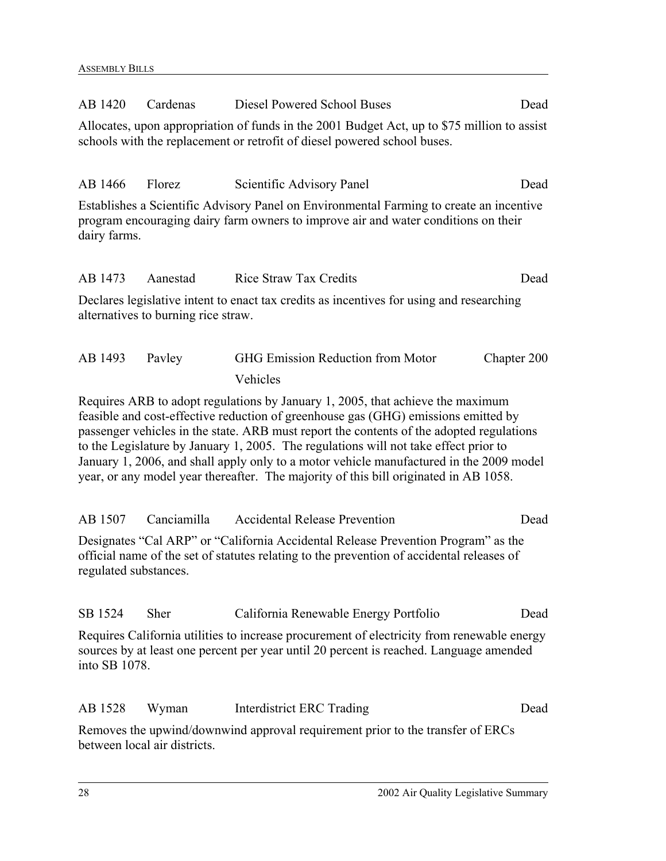| AB 1420               | Cardenas                            | Diesel Powered School Buses                                                                                                                                                                                                                                                                                                                                                                                                                                                                                                                 | Dead        |
|-----------------------|-------------------------------------|---------------------------------------------------------------------------------------------------------------------------------------------------------------------------------------------------------------------------------------------------------------------------------------------------------------------------------------------------------------------------------------------------------------------------------------------------------------------------------------------------------------------------------------------|-------------|
|                       |                                     | Allocates, upon appropriation of funds in the 2001 Budget Act, up to \$75 million to assist<br>schools with the replacement or retrofit of diesel powered school buses.                                                                                                                                                                                                                                                                                                                                                                     |             |
| AB 1466               | Florez                              | Scientific Advisory Panel                                                                                                                                                                                                                                                                                                                                                                                                                                                                                                                   | Dead        |
| dairy farms.          |                                     | Establishes a Scientific Advisory Panel on Environmental Farming to create an incentive<br>program encouraging dairy farm owners to improve air and water conditions on their                                                                                                                                                                                                                                                                                                                                                               |             |
| AB 1473               | Aanestad                            | <b>Rice Straw Tax Credits</b>                                                                                                                                                                                                                                                                                                                                                                                                                                                                                                               | Dead        |
|                       | alternatives to burning rice straw. | Declares legislative intent to enact tax credits as incentives for using and researching                                                                                                                                                                                                                                                                                                                                                                                                                                                    |             |
| AB 1493               | Payley                              | <b>GHG Emission Reduction from Motor</b>                                                                                                                                                                                                                                                                                                                                                                                                                                                                                                    | Chapter 200 |
|                       |                                     | Vehicles                                                                                                                                                                                                                                                                                                                                                                                                                                                                                                                                    |             |
|                       |                                     | Requires ARB to adopt regulations by January 1, 2005, that achieve the maximum<br>feasible and cost-effective reduction of greenhouse gas (GHG) emissions emitted by<br>passenger vehicles in the state. ARB must report the contents of the adopted regulations<br>to the Legislature by January 1, 2005. The regulations will not take effect prior to<br>January 1, 2006, and shall apply only to a motor vehicle manufactured in the 2009 model<br>year, or any model year thereafter. The majority of this bill originated in AB 1058. |             |
| AB 1507               | Canciamilla                         | <b>Accidental Release Prevention</b>                                                                                                                                                                                                                                                                                                                                                                                                                                                                                                        | Dead        |
| regulated substances. |                                     | Designates "Cal ARP" or "California Accidental Release Prevention Program" as the<br>official name of the set of statutes relating to the prevention of accidental releases of                                                                                                                                                                                                                                                                                                                                                              |             |
| SB 1524               | Sher                                | California Renewable Energy Portfolio                                                                                                                                                                                                                                                                                                                                                                                                                                                                                                       | Dead        |
| into SB 1078.         |                                     | Requires California utilities to increase procurement of electricity from renewable energy<br>sources by at least one percent per year until 20 percent is reached. Language amended                                                                                                                                                                                                                                                                                                                                                        |             |
| AB 1528               | Wyman                               | Interdistrict ERC Trading                                                                                                                                                                                                                                                                                                                                                                                                                                                                                                                   | Dead        |
|                       | between local air districts.        | Removes the upwind/downwind approval requirement prior to the transfer of ERCs                                                                                                                                                                                                                                                                                                                                                                                                                                                              |             |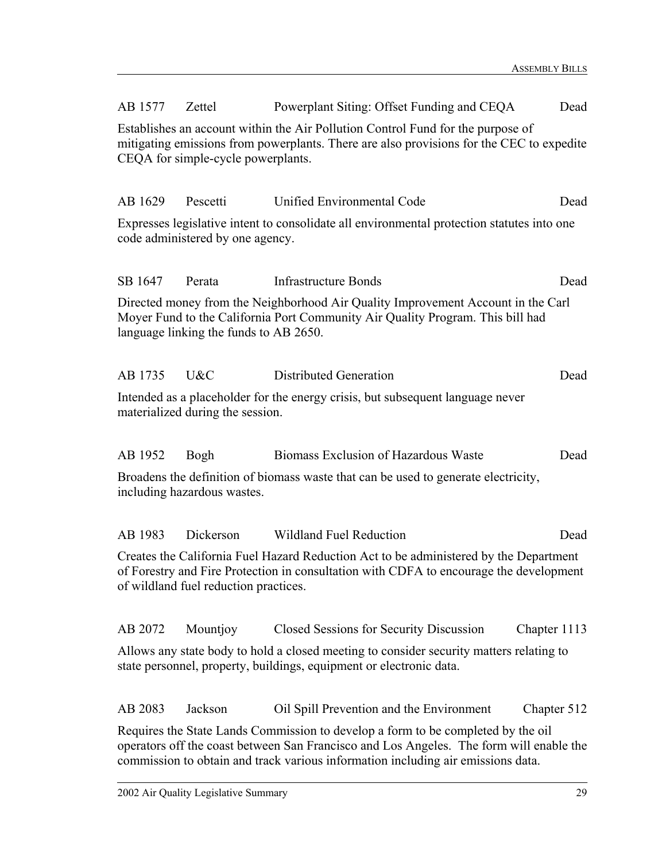| AB 1577                                                                                                                                                                                                           | Zettel                                 | Powerplant Siting: Offset Funding and CEQA                                                                                                                                      | Dead                                                                                                                                                                                                                                                            |  |  |  |
|-------------------------------------------------------------------------------------------------------------------------------------------------------------------------------------------------------------------|----------------------------------------|---------------------------------------------------------------------------------------------------------------------------------------------------------------------------------|-----------------------------------------------------------------------------------------------------------------------------------------------------------------------------------------------------------------------------------------------------------------|--|--|--|
| Establishes an account within the Air Pollution Control Fund for the purpose of<br>mitigating emissions from powerplants. There are also provisions for the CEC to expedite<br>CEQA for simple-cycle powerplants. |                                        |                                                                                                                                                                                 |                                                                                                                                                                                                                                                                 |  |  |  |
| AB 1629                                                                                                                                                                                                           | Pescetti                               | Unified Environmental Code                                                                                                                                                      | Dead                                                                                                                                                                                                                                                            |  |  |  |
|                                                                                                                                                                                                                   | code administered by one agency.       | Expresses legislative intent to consolidate all environmental protection statutes into one                                                                                      |                                                                                                                                                                                                                                                                 |  |  |  |
| SB 1647                                                                                                                                                                                                           | Perata                                 | <b>Infrastructure Bonds</b>                                                                                                                                                     | Dead                                                                                                                                                                                                                                                            |  |  |  |
|                                                                                                                                                                                                                   | language linking the funds to AB 2650. | Directed money from the Neighborhood Air Quality Improvement Account in the Carl<br>Moyer Fund to the California Port Community Air Quality Program. This bill had              |                                                                                                                                                                                                                                                                 |  |  |  |
| AB 1735                                                                                                                                                                                                           | U&C                                    | Distributed Generation                                                                                                                                                          | Dead                                                                                                                                                                                                                                                            |  |  |  |
|                                                                                                                                                                                                                   | materialized during the session.       | Intended as a placeholder for the energy crisis, but subsequent language never                                                                                                  |                                                                                                                                                                                                                                                                 |  |  |  |
| AB 1952                                                                                                                                                                                                           | Bogh                                   | Biomass Exclusion of Hazardous Waste                                                                                                                                            | Dead                                                                                                                                                                                                                                                            |  |  |  |
|                                                                                                                                                                                                                   | including hazardous wastes.            | Broadens the definition of biomass waste that can be used to generate electricity,                                                                                              |                                                                                                                                                                                                                                                                 |  |  |  |
| AB 1983                                                                                                                                                                                                           | Dickerson                              | <b>Wildland Fuel Reduction</b>                                                                                                                                                  | Dead                                                                                                                                                                                                                                                            |  |  |  |
|                                                                                                                                                                                                                   | of wildland fuel reduction practices.  | Creates the California Fuel Hazard Reduction Act to be administered by the Department<br>of Forestry and Fire Protection in consultation with CDFA to encourage the development |                                                                                                                                                                                                                                                                 |  |  |  |
| AB 2072                                                                                                                                                                                                           | Mountjoy                               | Closed Sessions for Security Discussion                                                                                                                                         | Chapter 1113                                                                                                                                                                                                                                                    |  |  |  |
|                                                                                                                                                                                                                   |                                        | Allows any state body to hold a closed meeting to consider security matters relating to<br>state personnel, property, buildings, equipment or electronic data.                  |                                                                                                                                                                                                                                                                 |  |  |  |
| AB 2083                                                                                                                                                                                                           | Jackson                                | Oil Spill Prevention and the Environment                                                                                                                                        | Chapter 512                                                                                                                                                                                                                                                     |  |  |  |
|                                                                                                                                                                                                                   |                                        |                                                                                                                                                                                 | Requires the State Lands Commission to develop a form to be completed by the oil<br>operators off the coast between San Francisco and Los Angeles. The form will enable the<br>commission to obtain and track various information including air emissions data. |  |  |  |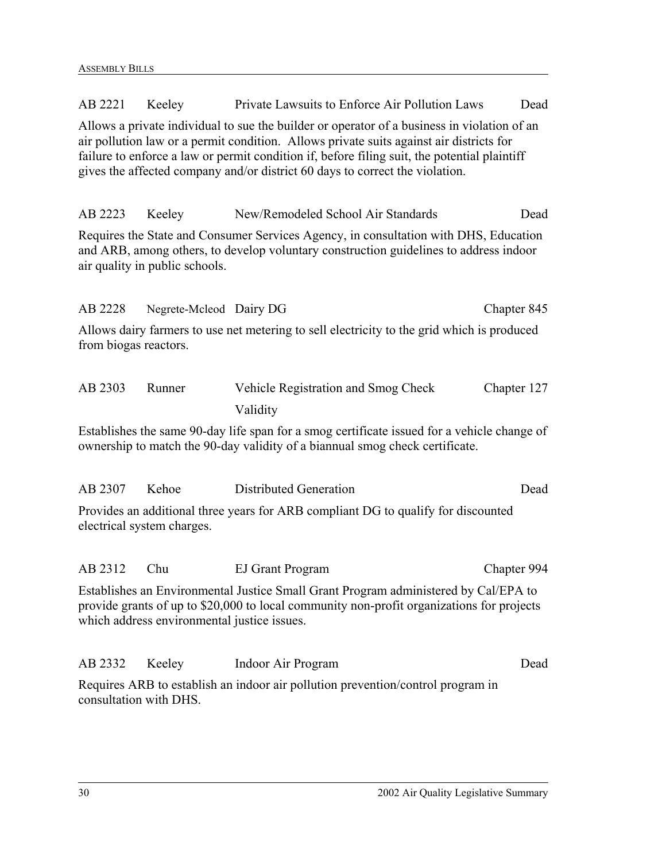| AB 2221                                                                                                                                                                                                                         | Keeley                  | Private Lawsuits to Enforce Air Pollution Laws                                                                                                                                                                                                                                                                                                                         | Dead        |
|---------------------------------------------------------------------------------------------------------------------------------------------------------------------------------------------------------------------------------|-------------------------|------------------------------------------------------------------------------------------------------------------------------------------------------------------------------------------------------------------------------------------------------------------------------------------------------------------------------------------------------------------------|-------------|
|                                                                                                                                                                                                                                 |                         | Allows a private individual to sue the builder or operator of a business in violation of an<br>air pollution law or a permit condition. Allows private suits against air districts for<br>failure to enforce a law or permit condition if, before filing suit, the potential plaintiff<br>gives the affected company and/or district 60 days to correct the violation. |             |
| AB 2223                                                                                                                                                                                                                         | Keeley                  | New/Remodeled School Air Standards                                                                                                                                                                                                                                                                                                                                     | Dead        |
| Requires the State and Consumer Services Agency, in consultation with DHS, Education<br>and ARB, among others, to develop voluntary construction guidelines to address indoor<br>air quality in public schools.                 |                         |                                                                                                                                                                                                                                                                                                                                                                        |             |
| AB 2228                                                                                                                                                                                                                         | Negrete-Mcleod Dairy DG |                                                                                                                                                                                                                                                                                                                                                                        | Chapter 845 |
| Allows dairy farmers to use net metering to sell electricity to the grid which is produced<br>from biogas reactors.                                                                                                             |                         |                                                                                                                                                                                                                                                                                                                                                                        |             |
| AB 2303                                                                                                                                                                                                                         | Runner                  | Vehicle Registration and Smog Check<br>Validity                                                                                                                                                                                                                                                                                                                        | Chapter 127 |
| Establishes the same 90-day life span for a smog certificate issued for a vehicle change of<br>ownership to match the 90-day validity of a biannual smog check certificate.                                                     |                         |                                                                                                                                                                                                                                                                                                                                                                        |             |
| AB 2307                                                                                                                                                                                                                         | Kehoe                   | Distributed Generation                                                                                                                                                                                                                                                                                                                                                 | Dead        |
| Provides an additional three years for ARB compliant DG to qualify for discounted<br>electrical system charges.                                                                                                                 |                         |                                                                                                                                                                                                                                                                                                                                                                        |             |
| AB 2312                                                                                                                                                                                                                         | Chu                     | <b>EJ Grant Program</b>                                                                                                                                                                                                                                                                                                                                                | Chapter 994 |
| Establishes an Environmental Justice Small Grant Program administered by Cal/EPA to<br>provide grants of up to \$20,000 to local community non-profit organizations for projects<br>which address environmental justice issues. |                         |                                                                                                                                                                                                                                                                                                                                                                        |             |
| AB 2332                                                                                                                                                                                                                         | Keeley                  | Indoor Air Program                                                                                                                                                                                                                                                                                                                                                     | Dead        |
| Requires ARB to establish an indoor air pollution prevention/control program in<br>consultation with DHS.                                                                                                                       |                         |                                                                                                                                                                                                                                                                                                                                                                        |             |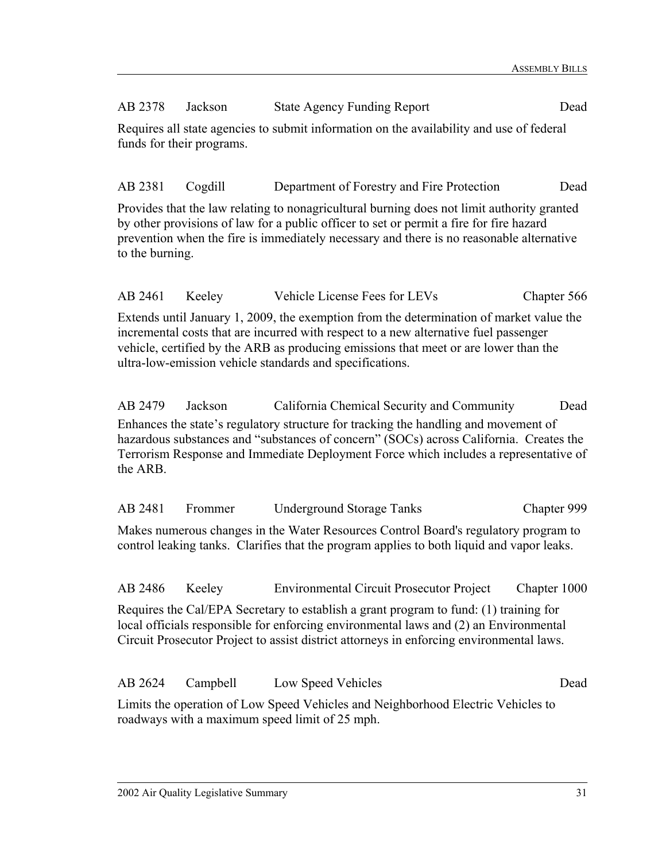### AB 2378 Jackson State Agency Funding Report Dead

Requires all state agencies to submit information on the availability and use of federal funds for their programs.

### AB 2381 Cogdill Department of Forestry and Fire Protection Dead

Provides that the law relating to nonagricultural burning does not limit authority granted by other provisions of law for a public officer to set or permit a fire for fire hazard prevention when the fire is immediately necessary and there is no reasonable alternative to the burning.

AB 2461 Keeley Vehicle License Fees for LEVs Chapter 566

Extends until January 1, 2009, the exemption from the determination of market value the incremental costs that are incurred with respect to a new alternative fuel passenger vehicle, certified by the ARB as producing emissions that meet or are lower than the ultra-low-emission vehicle standards and specifications.

AB 2479 Jackson California Chemical Security and Community Dead Enhances the state's regulatory structure for tracking the handling and movement of hazardous substances and "substances of concern" (SOCs) across California. Creates the Terrorism Response and Immediate Deployment Force which includes a representative of the ARB.

AB 2481 Frommer Underground Storage Tanks Chapter 999

Makes numerous changes in the Water Resources Control Board's regulatory program to control leaking tanks. Clarifies that the program applies to both liquid and vapor leaks.

AB 2486 Keeley Environmental Circuit Prosecutor Project Chapter 1000

Requires the Cal/EPA Secretary to establish a grant program to fund: (1) training for local officials responsible for enforcing environmental laws and (2) an Environmental Circuit Prosecutor Project to assist district attorneys in enforcing environmental laws.

AB 2624 Campbell Low Speed Vehicles Dead Limits the operation of Low Speed Vehicles and Neighborhood Electric Vehicles to roadways with a maximum speed limit of 25 mph.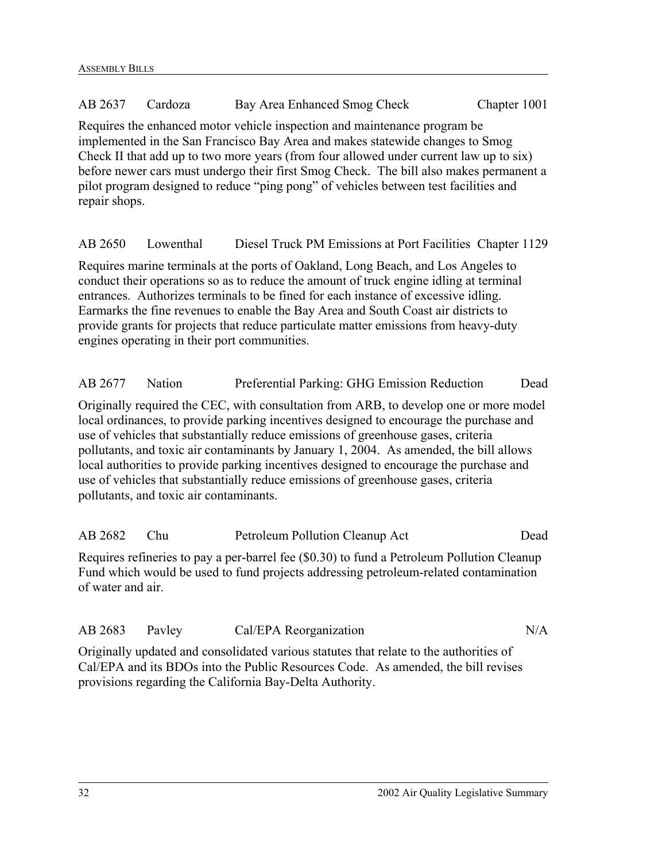### AB 2637 Cardoza Bay Area Enhanced Smog Check Chapter 1001

Requires the enhanced motor vehicle inspection and maintenance program be implemented in the San Francisco Bay Area and makes statewide changes to Smog Check II that add up to two more years (from four allowed under current law up to six) before newer cars must undergo their first Smog Check. The bill also makes permanent a pilot program designed to reduce "ping pong" of vehicles between test facilities and repair shops.

AB 2650 Lowenthal Diesel Truck PM Emissions at Port Facilities Chapter 1129

Requires marine terminals at the ports of Oakland, Long Beach, and Los Angeles to conduct their operations so as to reduce the amount of truck engine idling at terminal entrances. Authorizes terminals to be fined for each instance of excessive idling. Earmarks the fine revenues to enable the Bay Area and South Coast air districts to provide grants for projects that reduce particulate matter emissions from heavy-duty engines operating in their port communities.

AB 2677 Nation Preferential Parking: GHG Emission Reduction Dead Originally required the CEC, with consultation from ARB, to develop one or more model local ordinances, to provide parking incentives designed to encourage the purchase and use of vehicles that substantially reduce emissions of greenhouse gases, criteria pollutants, and toxic air contaminants by January 1, 2004. As amended, the bill allows local authorities to provide parking incentives designed to encourage the purchase and use of vehicles that substantially reduce emissions of greenhouse gases, criteria pollutants, and toxic air contaminants.

| AB 2682           | Chu | Petroleum Pollution Cleanup Act                                                            | Dead |
|-------------------|-----|--------------------------------------------------------------------------------------------|------|
|                   |     | Requires refineries to pay a per-barrel fee (\$0.30) to fund a Petroleum Pollution Cleanup |      |
|                   |     | Fund which would be used to fund projects addressing petroleum-related contamination       |      |
| of water and air. |     |                                                                                            |      |

| AB 2683 Payley |  | Cal/EPA Reorganization | N/A |
|----------------|--|------------------------|-----|
|----------------|--|------------------------|-----|

Originally updated and consolidated various statutes that relate to the authorities of Cal/EPA and its BDOs into the Public Resources Code. As amended, the bill revises provisions regarding the California Bay-Delta Authority.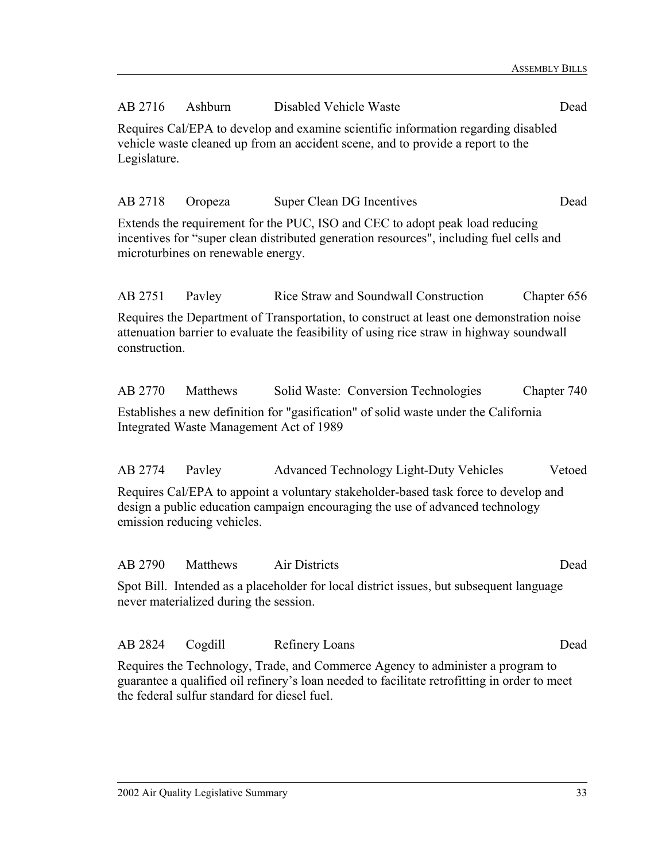| AB 2716                                                                                                                                                                                                                        | Ashburn                                                                                                                                                                                               | Disabled Vehicle Waste                                                                                                                                                  | Dead        |  |  |
|--------------------------------------------------------------------------------------------------------------------------------------------------------------------------------------------------------------------------------|-------------------------------------------------------------------------------------------------------------------------------------------------------------------------------------------------------|-------------------------------------------------------------------------------------------------------------------------------------------------------------------------|-------------|--|--|
|                                                                                                                                                                                                                                | Requires Cal/EPA to develop and examine scientific information regarding disabled<br>vehicle waste cleaned up from an accident scene, and to provide a report to the<br>Legislature.                  |                                                                                                                                                                         |             |  |  |
| AB 2718                                                                                                                                                                                                                        | Oropeza                                                                                                                                                                                               | Super Clean DG Incentives                                                                                                                                               | Dead        |  |  |
|                                                                                                                                                                                                                                | microturbines on renewable energy.                                                                                                                                                                    | Extends the requirement for the PUC, ISO and CEC to adopt peak load reducing<br>incentives for "super clean distributed generation resources", including fuel cells and |             |  |  |
| AB 2751                                                                                                                                                                                                                        | Payley                                                                                                                                                                                                | Rice Straw and Soundwall Construction                                                                                                                                   | Chapter 656 |  |  |
|                                                                                                                                                                                                                                | Requires the Department of Transportation, to construct at least one demonstration noise<br>attenuation barrier to evaluate the feasibility of using rice straw in highway soundwall<br>construction. |                                                                                                                                                                         |             |  |  |
| AB 2770                                                                                                                                                                                                                        | Matthews                                                                                                                                                                                              | Solid Waste: Conversion Technologies                                                                                                                                    | Chapter 740 |  |  |
|                                                                                                                                                                                                                                | Integrated Waste Management Act of 1989                                                                                                                                                               | Establishes a new definition for "gasification" of solid waste under the California                                                                                     |             |  |  |
| AB 2774                                                                                                                                                                                                                        | Payley                                                                                                                                                                                                | <b>Advanced Technology Light-Duty Vehicles</b>                                                                                                                          | Vetoed      |  |  |
| Requires Cal/EPA to appoint a voluntary stakeholder-based task force to develop and<br>design a public education campaign encouraging the use of advanced technology<br>emission reducing vehicles.                            |                                                                                                                                                                                                       |                                                                                                                                                                         |             |  |  |
| AB 2790                                                                                                                                                                                                                        | Matthews                                                                                                                                                                                              | Air Districts                                                                                                                                                           | Dead        |  |  |
|                                                                                                                                                                                                                                | never materialized during the session.                                                                                                                                                                | Spot Bill. Intended as a placeholder for local district issues, but subsequent language                                                                                 |             |  |  |
| AB 2824                                                                                                                                                                                                                        | Cogdill                                                                                                                                                                                               | <b>Refinery Loans</b>                                                                                                                                                   | Dead        |  |  |
| Requires the Technology, Trade, and Commerce Agency to administer a program to<br>guarantee a qualified oil refinery's loan needed to facilitate retrofitting in order to meet<br>the federal sulfur standard for diesel fuel. |                                                                                                                                                                                                       |                                                                                                                                                                         |             |  |  |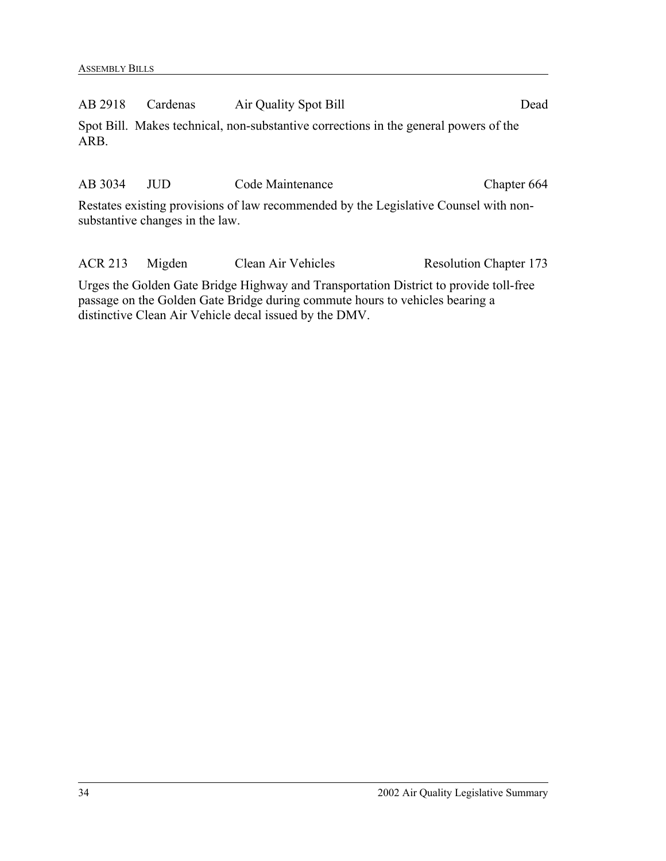AB 2918 Cardenas Air Quality Spot Bill Dead Spot Bill. Makes technical, non-substantive corrections in the general powers of the

ARB.

AB 3034 JUD Code Maintenance Chapter 664 Restates existing provisions of law recommended by the Legislative Counsel with non-

substantive changes in the law.

ACR 213 Migden Clean Air Vehicles Resolution Chapter 173 Urges the Golden Gate Bridge Highway and Transportation District to provide toll-free passage on the Golden Gate Bridge during commute hours to vehicles bearing a distinctive Clean Air Vehicle decal issued by the DMV.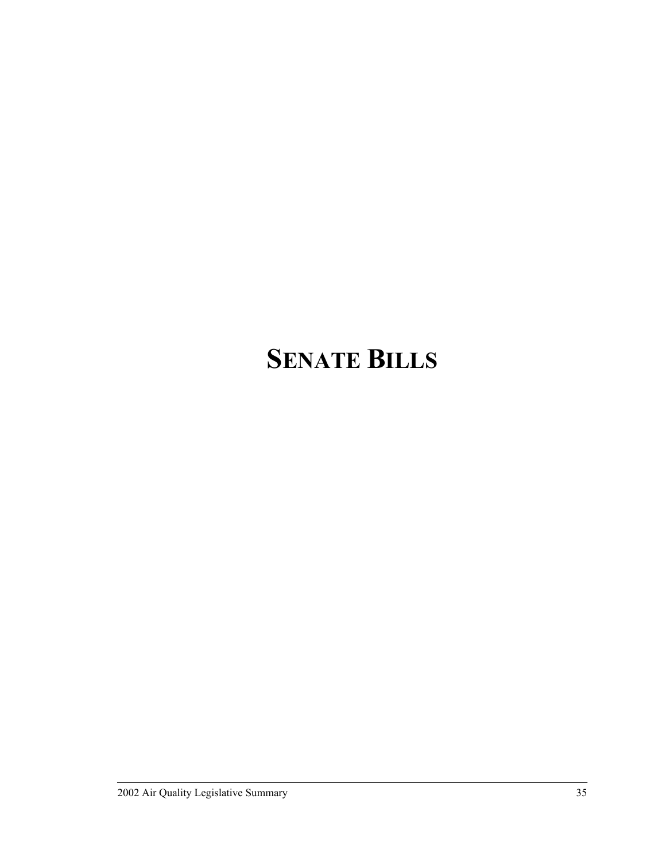## **SENATE BILLS**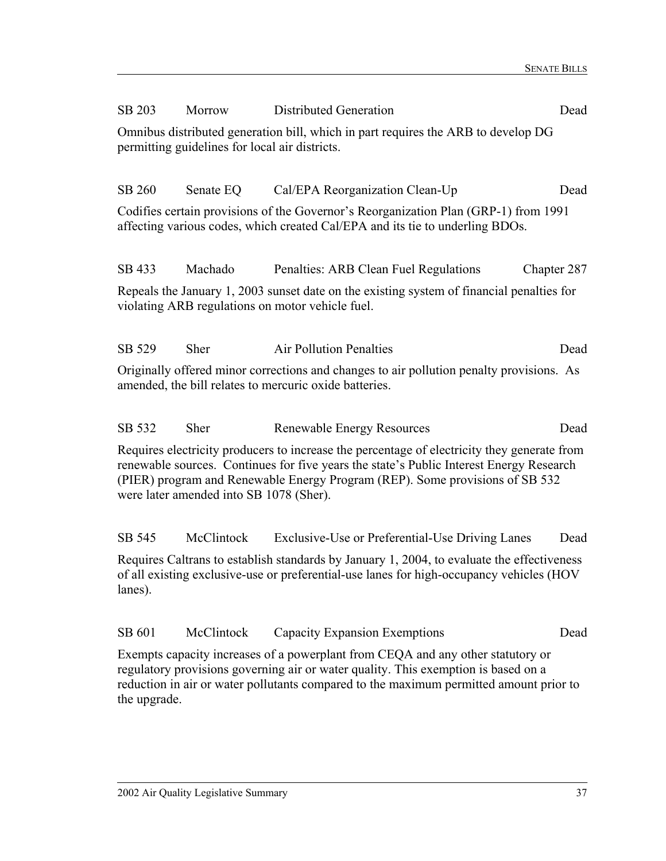| SB 203                                                                                                                                                                                                                                                                                                            | Morrow                                                                                                                                             | Distributed Generation                                                                                                                                                                 | Dead        |  |  |
|-------------------------------------------------------------------------------------------------------------------------------------------------------------------------------------------------------------------------------------------------------------------------------------------------------------------|----------------------------------------------------------------------------------------------------------------------------------------------------|----------------------------------------------------------------------------------------------------------------------------------------------------------------------------------------|-------------|--|--|
|                                                                                                                                                                                                                                                                                                                   | Omnibus distributed generation bill, which in part requires the ARB to develop DG<br>permitting guidelines for local air districts.                |                                                                                                                                                                                        |             |  |  |
| SB 260                                                                                                                                                                                                                                                                                                            | Senate EQ                                                                                                                                          | Cal/EPA Reorganization Clean-Up                                                                                                                                                        | Dead        |  |  |
|                                                                                                                                                                                                                                                                                                                   |                                                                                                                                                    | Codifies certain provisions of the Governor's Reorganization Plan (GRP-1) from 1991<br>affecting various codes, which created Cal/EPA and its tie to underling BDOs.                   |             |  |  |
| SB 433                                                                                                                                                                                                                                                                                                            | Machado                                                                                                                                            | Penalties: ARB Clean Fuel Regulations                                                                                                                                                  | Chapter 287 |  |  |
|                                                                                                                                                                                                                                                                                                                   | Repeals the January 1, 2003 sunset date on the existing system of financial penalties for<br>violating ARB regulations on motor vehicle fuel.      |                                                                                                                                                                                        |             |  |  |
| SB 529                                                                                                                                                                                                                                                                                                            | <b>Sher</b>                                                                                                                                        | <b>Air Pollution Penalties</b>                                                                                                                                                         | Dead        |  |  |
|                                                                                                                                                                                                                                                                                                                   | Originally offered minor corrections and changes to air pollution penalty provisions. As<br>amended, the bill relates to mercuric oxide batteries. |                                                                                                                                                                                        |             |  |  |
| SB 532                                                                                                                                                                                                                                                                                                            | <b>Sher</b>                                                                                                                                        | <b>Renewable Energy Resources</b>                                                                                                                                                      | Dead        |  |  |
| Requires electricity producers to increase the percentage of electricity they generate from<br>renewable sources. Continues for five years the state's Public Interest Energy Research<br>(PIER) program and Renewable Energy Program (REP). Some provisions of SB 532<br>were later amended into SB 1078 (Sher). |                                                                                                                                                    |                                                                                                                                                                                        |             |  |  |
| SB 545                                                                                                                                                                                                                                                                                                            | McClintock                                                                                                                                         | Exclusive-Use or Preferential-Use Driving Lanes                                                                                                                                        | Dead        |  |  |
| lanes).                                                                                                                                                                                                                                                                                                           |                                                                                                                                                    | Requires Caltrans to establish standards by January 1, 2004, to evaluate the effectiveness<br>of all existing exclusive-use or preferential-use lanes for high-occupancy vehicles (HOV |             |  |  |

Exempts capacity increases of a powerplant from CEQA and any other statutory or regulatory provisions governing air or water quality. This exemption is based on a reduction in air or water pollutants compared to the maximum permitted amount prior to the upgrade.

SB 601 McClintock Capacity Expansion Exemptions Dead

#### 2002 Air Quality Legislative Summary 37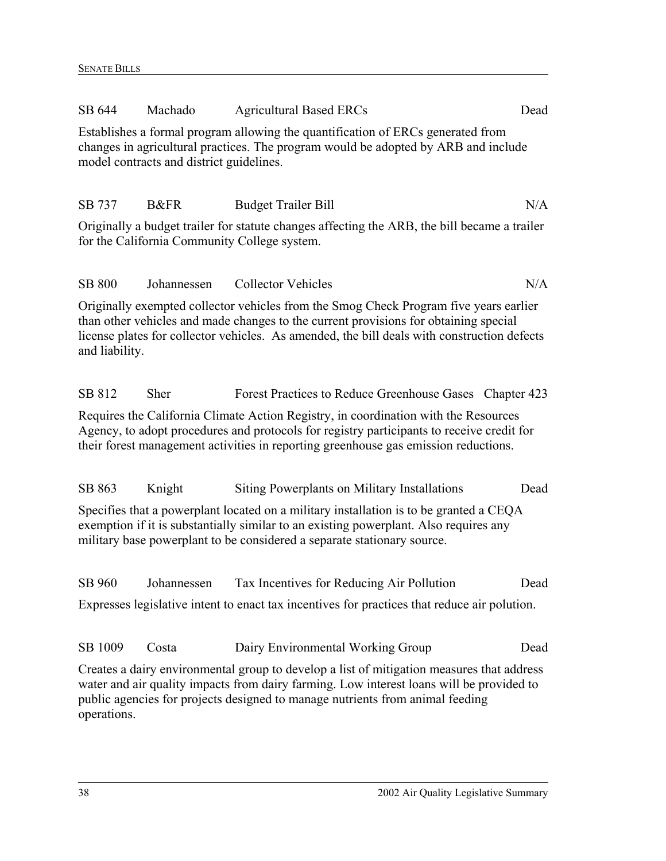| SB 644                                                                                                                                                                                                                                                     | Machado                                  | <b>Agricultural Based ERCs</b>                                                                                                                                                                                                                                               | Dead |  |
|------------------------------------------------------------------------------------------------------------------------------------------------------------------------------------------------------------------------------------------------------------|------------------------------------------|------------------------------------------------------------------------------------------------------------------------------------------------------------------------------------------------------------------------------------------------------------------------------|------|--|
|                                                                                                                                                                                                                                                            | model contracts and district guidelines. | Establishes a formal program allowing the quantification of ERCs generated from<br>changes in agricultural practices. The program would be adopted by ARB and include                                                                                                        |      |  |
| SB 737                                                                                                                                                                                                                                                     | <b>B&amp;FR</b>                          | <b>Budget Trailer Bill</b>                                                                                                                                                                                                                                                   | N/A  |  |
|                                                                                                                                                                                                                                                            |                                          | Originally a budget trailer for statute changes affecting the ARB, the bill became a trailer<br>for the California Community College system.                                                                                                                                 |      |  |
| <b>SB 800</b>                                                                                                                                                                                                                                              | Johannessen                              | <b>Collector Vehicles</b>                                                                                                                                                                                                                                                    | N/A  |  |
| and liability.                                                                                                                                                                                                                                             |                                          | Originally exempted collector vehicles from the Smog Check Program five years earlier<br>than other vehicles and made changes to the current provisions for obtaining special<br>license plates for collector vehicles. As amended, the bill deals with construction defects |      |  |
| SB 812                                                                                                                                                                                                                                                     | Sher                                     | Forest Practices to Reduce Greenhouse Gases Chapter 423                                                                                                                                                                                                                      |      |  |
|                                                                                                                                                                                                                                                            |                                          | Requires the California Climate Action Registry, in coordination with the Resources<br>Agency, to adopt procedures and protocols for registry participants to receive credit for<br>their forest management activities in reporting greenhouse gas emission reductions.      |      |  |
| SB 863                                                                                                                                                                                                                                                     | Knight                                   | Siting Powerplants on Military Installations                                                                                                                                                                                                                                 | Dead |  |
| Specifies that a powerplant located on a military installation is to be granted a CEQA<br>exemption if it is substantially similar to an existing powerplant. Also requires any<br>military base powerplant to be considered a separate stationary source. |                                          |                                                                                                                                                                                                                                                                              |      |  |
| SB 960                                                                                                                                                                                                                                                     | Johannessen                              | Tax Incentives for Reducing Air Pollution                                                                                                                                                                                                                                    | Dead |  |
|                                                                                                                                                                                                                                                            |                                          | Expresses legislative intent to enact tax incentives for practices that reduce air polution.                                                                                                                                                                                 |      |  |
| SB 1009                                                                                                                                                                                                                                                    | Costa                                    | Dairy Environmental Working Group                                                                                                                                                                                                                                            | Dead |  |
|                                                                                                                                                                                                                                                            |                                          | Creates a dairy environmental group to develop a list of mitigation measures that address                                                                                                                                                                                    |      |  |

water and air quality impacts from dairy farming. Low interest loans will be provided to public agencies for projects designed to manage nutrients from animal feeding operations.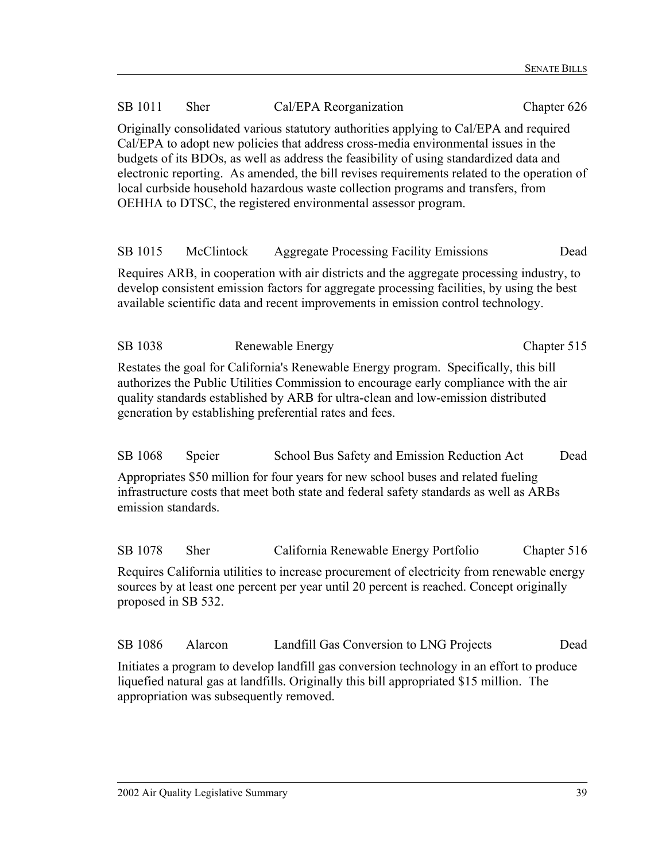| SB 1011                                                                                                                                                                                                                                                                                                                       | Sher                                                                                                                                                                                                                                                                                                                                                                                                                                                                                                                       | Cal/EPA Reorganization                                                                                                                                                                                                                                                       | Chapter 626 |  |  |
|-------------------------------------------------------------------------------------------------------------------------------------------------------------------------------------------------------------------------------------------------------------------------------------------------------------------------------|----------------------------------------------------------------------------------------------------------------------------------------------------------------------------------------------------------------------------------------------------------------------------------------------------------------------------------------------------------------------------------------------------------------------------------------------------------------------------------------------------------------------------|------------------------------------------------------------------------------------------------------------------------------------------------------------------------------------------------------------------------------------------------------------------------------|-------------|--|--|
|                                                                                                                                                                                                                                                                                                                               | Originally consolidated various statutory authorities applying to Cal/EPA and required<br>Cal/EPA to adopt new policies that address cross-media environmental issues in the<br>budgets of its BDOs, as well as address the feasibility of using standardized data and<br>electronic reporting. As amended, the bill revises requirements related to the operation of<br>local curbside household hazardous waste collection programs and transfers, from<br>OEHHA to DTSC, the registered environmental assessor program. |                                                                                                                                                                                                                                                                              |             |  |  |
| SB 1015                                                                                                                                                                                                                                                                                                                       | McClintock                                                                                                                                                                                                                                                                                                                                                                                                                                                                                                                 | <b>Aggregate Processing Facility Emissions</b>                                                                                                                                                                                                                               | Dead        |  |  |
|                                                                                                                                                                                                                                                                                                                               |                                                                                                                                                                                                                                                                                                                                                                                                                                                                                                                            | Requires ARB, in cooperation with air districts and the aggregate processing industry, to<br>develop consistent emission factors for aggregate processing facilities, by using the best<br>available scientific data and recent improvements in emission control technology. |             |  |  |
| SB 1038                                                                                                                                                                                                                                                                                                                       |                                                                                                                                                                                                                                                                                                                                                                                                                                                                                                                            | Renewable Energy                                                                                                                                                                                                                                                             | Chapter 515 |  |  |
| Restates the goal for California's Renewable Energy program. Specifically, this bill<br>authorizes the Public Utilities Commission to encourage early compliance with the air<br>quality standards established by ARB for ultra-clean and low-emission distributed<br>generation by establishing preferential rates and fees. |                                                                                                                                                                                                                                                                                                                                                                                                                                                                                                                            |                                                                                                                                                                                                                                                                              |             |  |  |
| SB 1068                                                                                                                                                                                                                                                                                                                       | Speier                                                                                                                                                                                                                                                                                                                                                                                                                                                                                                                     | School Bus Safety and Emission Reduction Act                                                                                                                                                                                                                                 | Dead        |  |  |
| Appropriates \$50 million for four years for new school buses and related fueling<br>infrastructure costs that meet both state and federal safety standards as well as ARBs<br>emission standards.                                                                                                                            |                                                                                                                                                                                                                                                                                                                                                                                                                                                                                                                            |                                                                                                                                                                                                                                                                              |             |  |  |
| SB 1078                                                                                                                                                                                                                                                                                                                       | Sher                                                                                                                                                                                                                                                                                                                                                                                                                                                                                                                       | California Renewable Energy Portfolio                                                                                                                                                                                                                                        | Chapter 516 |  |  |
| Requires California utilities to increase procurement of electricity from renewable energy<br>sources by at least one percent per year until 20 percent is reached. Concept originally<br>proposed in SB 532.                                                                                                                 |                                                                                                                                                                                                                                                                                                                                                                                                                                                                                                                            |                                                                                                                                                                                                                                                                              |             |  |  |

SB 1086 Alarcon Landfill Gas Conversion to LNG Projects Dead

Initiates a program to develop landfill gas conversion technology in an effort to produce liquefied natural gas at landfills. Originally this bill appropriated \$15 million. The appropriation was subsequently removed.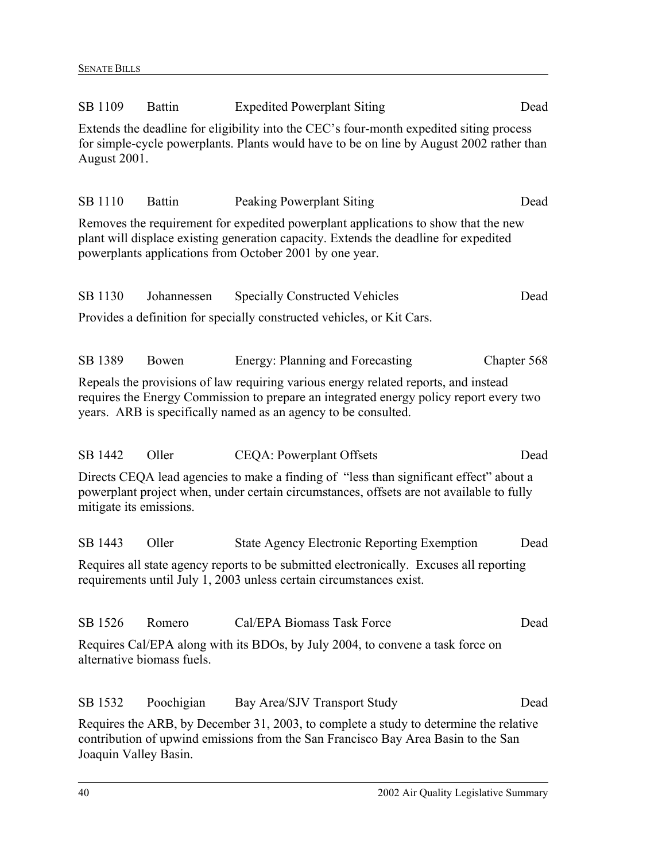| SB 1109                 | <b>Battin</b>              | <b>Expedited Powerplant Siting</b>                                                                                                                                                                                                              | Dead        |
|-------------------------|----------------------------|-------------------------------------------------------------------------------------------------------------------------------------------------------------------------------------------------------------------------------------------------|-------------|
| <b>August 2001.</b>     |                            | Extends the deadline for eligibility into the CEC's four-month expedited siting process<br>for simple-cycle powerplants. Plants would have to be on line by August 2002 rather than                                                             |             |
| SB 1110                 | <b>Battin</b>              | <b>Peaking Powerplant Siting</b>                                                                                                                                                                                                                | Dead        |
|                         |                            | Removes the requirement for expedited powerplant applications to show that the new<br>plant will displace existing generation capacity. Extends the deadline for expedited<br>powerplants applications from October 2001 by one year.           |             |
| SB 1130                 | Johannessen                | <b>Specially Constructed Vehicles</b>                                                                                                                                                                                                           | Dead        |
|                         |                            | Provides a definition for specially constructed vehicles, or Kit Cars.                                                                                                                                                                          |             |
| SB 1389                 | Bowen                      | Energy: Planning and Forecasting                                                                                                                                                                                                                | Chapter 568 |
|                         |                            | Repeals the provisions of law requiring various energy related reports, and instead<br>requires the Energy Commission to prepare an integrated energy policy report every two<br>years. ARB is specifically named as an agency to be consulted. |             |
| SB 1442                 | Oller                      | <b>CEQA</b> : Powerplant Offsets                                                                                                                                                                                                                | Dead        |
| mitigate its emissions. |                            | Directs CEQA lead agencies to make a finding of "less than significant effect" about a<br>powerplant project when, under certain circumstances, offsets are not available to fully                                                              |             |
| SB 1443                 | Oller                      | <b>State Agency Electronic Reporting Exemption</b>                                                                                                                                                                                              | Dead        |
|                         |                            | Requires all state agency reports to be submitted electronically. Excuses all reporting<br>requirements until July 1, 2003 unless certain circumstances exist.                                                                                  |             |
| SB 1526                 | Romero                     | Cal/EPA Biomass Task Force                                                                                                                                                                                                                      | Dead        |
|                         | alternative biomass fuels. | Requires Cal/EPA along with its BDOs, by July 2004, to convene a task force on                                                                                                                                                                  |             |
| SB 1532                 | Poochigian                 | Bay Area/SJV Transport Study                                                                                                                                                                                                                    | Dead        |
|                         |                            | Requires the ARB, by December 31, 2003, to complete a study to determine the relative<br>contribution of upwind emissions from the San Francisco Bay Area Basin to the San                                                                      |             |

Joaquin Valley Basin.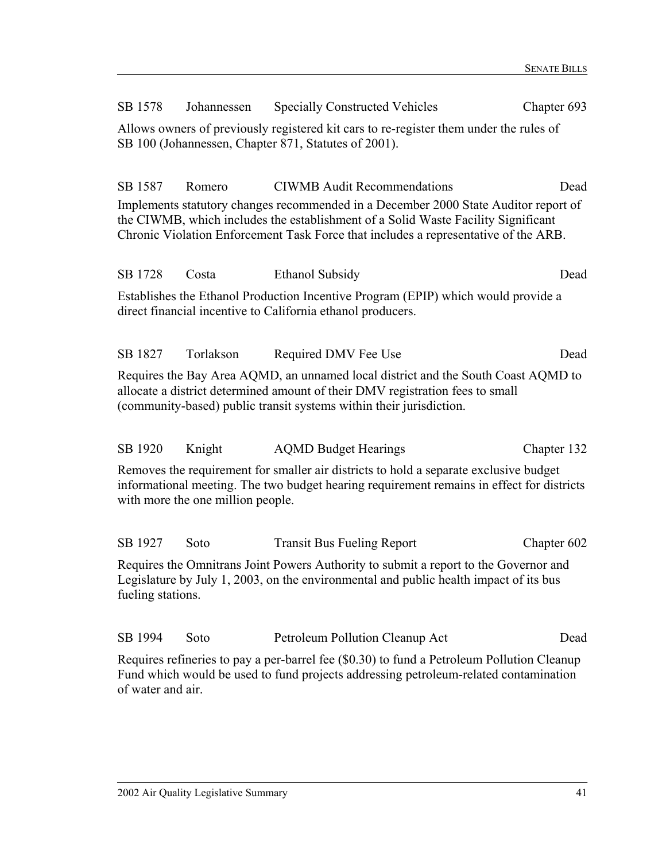| SB 1578                                                                                                                                                                                                                                   | Johannessen                                                                                                                                      | <b>Specially Constructed Vehicles</b>                                                                                                                                                                                                                           | Chapter 693 |  |
|-------------------------------------------------------------------------------------------------------------------------------------------------------------------------------------------------------------------------------------------|--------------------------------------------------------------------------------------------------------------------------------------------------|-----------------------------------------------------------------------------------------------------------------------------------------------------------------------------------------------------------------------------------------------------------------|-------------|--|
|                                                                                                                                                                                                                                           |                                                                                                                                                  | Allows owners of previously registered kit cars to re-register them under the rules of<br>SB 100 (Johannessen, Chapter 871, Statutes of 2001).                                                                                                                  |             |  |
| SB 1587                                                                                                                                                                                                                                   | Romero                                                                                                                                           | <b>CIWMB</b> Audit Recommendations                                                                                                                                                                                                                              | Dead        |  |
|                                                                                                                                                                                                                                           |                                                                                                                                                  | Implements statutory changes recommended in a December 2000 State Auditor report of<br>the CIWMB, which includes the establishment of a Solid Waste Facility Significant<br>Chronic Violation Enforcement Task Force that includes a representative of the ARB. |             |  |
| SB 1728                                                                                                                                                                                                                                   | Costa                                                                                                                                            | <b>Ethanol Subsidy</b>                                                                                                                                                                                                                                          | Dead        |  |
|                                                                                                                                                                                                                                           | Establishes the Ethanol Production Incentive Program (EPIP) which would provide a<br>direct financial incentive to California ethanol producers. |                                                                                                                                                                                                                                                                 |             |  |
| SB 1827                                                                                                                                                                                                                                   | Torlakson                                                                                                                                        | Required DMV Fee Use                                                                                                                                                                                                                                            | Dead        |  |
| Requires the Bay Area AQMD, an unnamed local district and the South Coast AQMD to<br>allocate a district determined amount of their DMV registration fees to small<br>(community-based) public transit systems within their jurisdiction. |                                                                                                                                                  |                                                                                                                                                                                                                                                                 |             |  |
| SB 1920                                                                                                                                                                                                                                   | Knight                                                                                                                                           | <b>AQMD Budget Hearings</b>                                                                                                                                                                                                                                     | Chapter 132 |  |
| Removes the requirement for smaller air districts to hold a separate exclusive budget<br>informational meeting. The two budget hearing requirement remains in effect for districts<br>with more the one million people.                   |                                                                                                                                                  |                                                                                                                                                                                                                                                                 |             |  |
| SB 1927                                                                                                                                                                                                                                   | Soto                                                                                                                                             | <b>Transit Bus Fueling Report</b>                                                                                                                                                                                                                               | Chapter 602 |  |
| Requires the Omnitrans Joint Powers Authority to submit a report to the Governor and<br>Legislature by July 1, 2003, on the environmental and public health impact of its bus<br>fueling stations.                                        |                                                                                                                                                  |                                                                                                                                                                                                                                                                 |             |  |
| SB 1994                                                                                                                                                                                                                                   | Soto                                                                                                                                             | Petroleum Pollution Cleanup Act                                                                                                                                                                                                                                 | Dead        |  |
|                                                                                                                                                                                                                                           |                                                                                                                                                  | $D_{\text{equixos}}$ refinering to nove a per berrol for $(80, 20)$ to fund a Detroleum pollution Cleanup                                                                                                                                                       |             |  |

Requires refineries to pay a per-barrel fee (\$0.30) to fund a Petroleum Pollution Cleanup Fund which would be used to fund projects addressing petroleum-related contamination of water and air.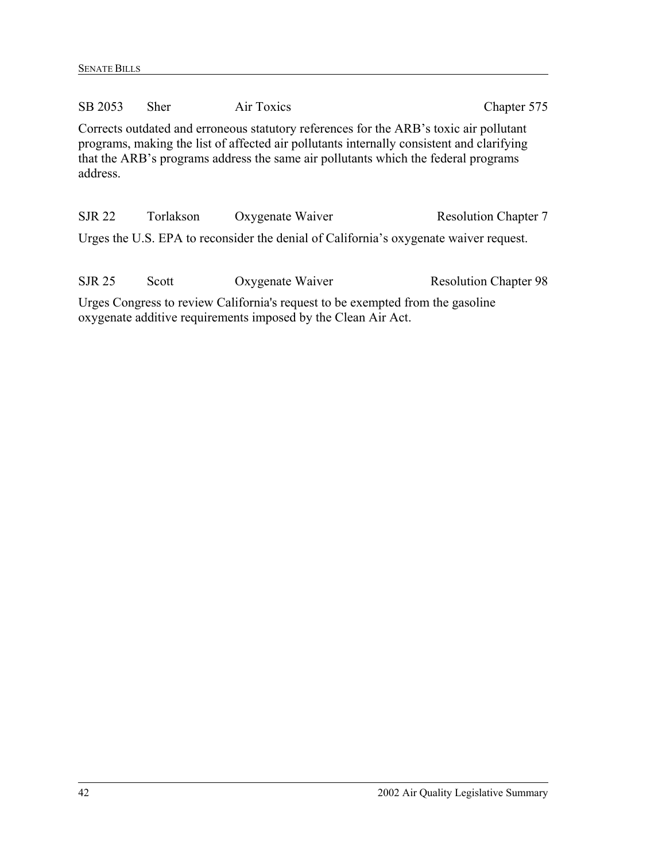| SB 2053                                                                                                                                                                                                                                                                               | <b>Sher</b> | Air Toxics       | Chapter 575                  |  |
|---------------------------------------------------------------------------------------------------------------------------------------------------------------------------------------------------------------------------------------------------------------------------------------|-------------|------------------|------------------------------|--|
| Corrects outdated and erroneous statutory references for the ARB's toxic air pollutant<br>programs, making the list of affected air pollutants internally consistent and clarifying<br>that the ARB's programs address the same air pollutants which the federal programs<br>address. |             |                  |                              |  |
| <b>SJR 22</b>                                                                                                                                                                                                                                                                         | Torlakson   | Oxygenate Waiver | <b>Resolution Chapter 7</b>  |  |
| Urges the U.S. EPA to reconsider the denial of California's oxygenate waiver request.                                                                                                                                                                                                 |             |                  |                              |  |
| <b>SJR 25</b>                                                                                                                                                                                                                                                                         | Scott       | Oxygenate Waiver | <b>Resolution Chapter 98</b> |  |
| Urges Congress to review California's request to be exempted from the gasoline                                                                                                                                                                                                        |             |                  |                              |  |

oxygenate additive requirements imposed by the Clean Air Act.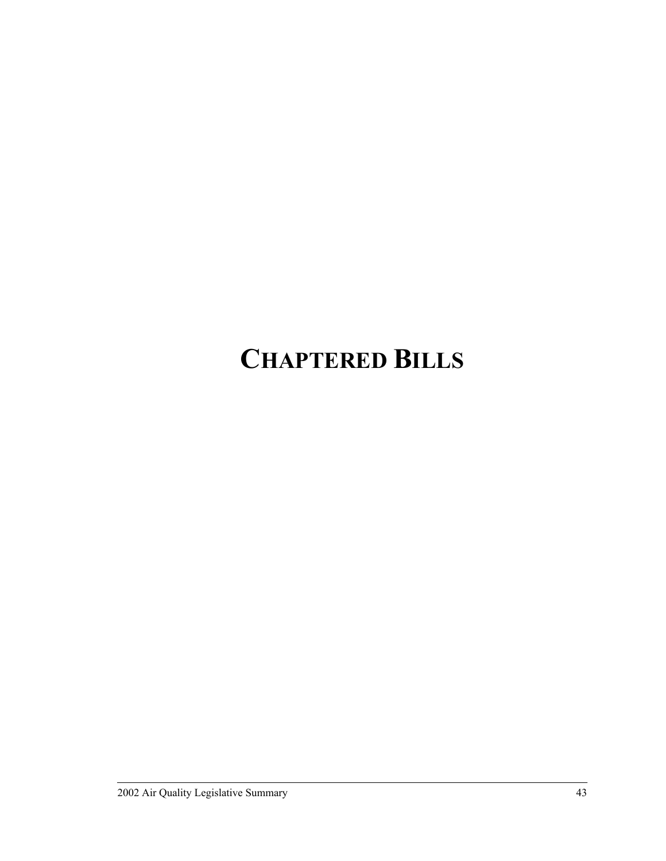# **CHAPTERED BILLS**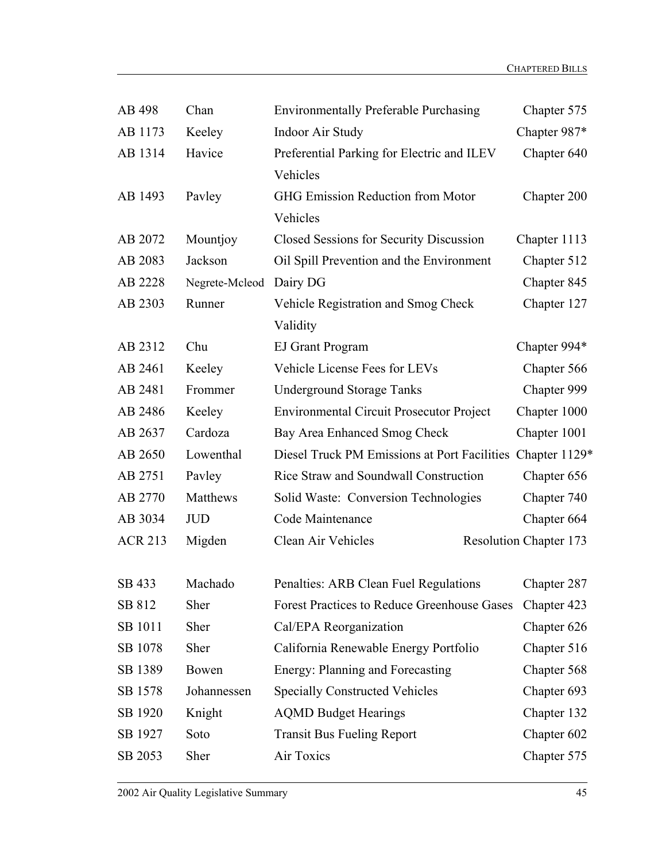| AB 498         | Chan           | <b>Environmentally Preferable Purchasing</b>               | Chapter 575                   |
|----------------|----------------|------------------------------------------------------------|-------------------------------|
| AB 1173        | Keeley         | <b>Indoor Air Study</b>                                    | Chapter 987*                  |
| AB 1314        | Havice         | Preferential Parking for Electric and ILEV                 | Chapter 640                   |
|                |                | Vehicles                                                   |                               |
| AB 1493        | Pavley         | GHG Emission Reduction from Motor                          | Chapter 200                   |
|                |                | Vehicles                                                   |                               |
| AB 2072        | Mountjoy       | Closed Sessions for Security Discussion                    | Chapter 1113                  |
| AB 2083        | Jackson        | Oil Spill Prevention and the Environment                   | Chapter 512                   |
| AB 2228        | Negrete-Mcleod | Dairy DG                                                   | Chapter 845                   |
| AB 2303        | Runner         | Vehicle Registration and Smog Check                        | Chapter 127                   |
|                |                | Validity                                                   |                               |
| AB 2312        | Chu            | <b>EJ Grant Program</b>                                    | Chapter 994*                  |
| AB 2461        | Keeley         | Vehicle License Fees for LEVs                              | Chapter 566                   |
| AB 2481        | Frommer        | <b>Underground Storage Tanks</b>                           | Chapter 999                   |
| AB 2486        | Keeley         | <b>Environmental Circuit Prosecutor Project</b>            | Chapter 1000                  |
| AB 2637        | Cardoza        | Bay Area Enhanced Smog Check                               | Chapter 1001                  |
| AB 2650        | Lowenthal      | Diesel Truck PM Emissions at Port Facilities Chapter 1129* |                               |
| AB 2751        | Pavley         | Rice Straw and Soundwall Construction                      | Chapter 656                   |
| AB 2770        | Matthews       | Solid Waste: Conversion Technologies                       | Chapter 740                   |
| AB 3034        | <b>JUD</b>     | Code Maintenance                                           | Chapter 664                   |
| <b>ACR 213</b> | Migden         | Clean Air Vehicles                                         | <b>Resolution Chapter 173</b> |
|                |                |                                                            |                               |
| SB 433         | Machado        | Penalties: ARB Clean Fuel Regulations                      | Chapter 287                   |
| SB 812         | Sher           | <b>Forest Practices to Reduce Greenhouse Gases</b>         | Chapter 423                   |
| SB 1011        | Sher           | Cal/EPA Reorganization                                     | Chapter 626                   |
| SB 1078        | Sher           | California Renewable Energy Portfolio                      | Chapter 516                   |
| SB 1389        | Bowen          | Energy: Planning and Forecasting                           | Chapter 568                   |
| SB 1578        | Johannessen    | <b>Specially Constructed Vehicles</b>                      | Chapter 693                   |
| SB 1920        | Knight         | <b>AQMD Budget Hearings</b>                                | Chapter 132                   |
| SB 1927        | Soto           | <b>Transit Bus Fueling Report</b>                          | Chapter 602                   |
| SB 2053        | Sher           | Air Toxics                                                 | Chapter 575                   |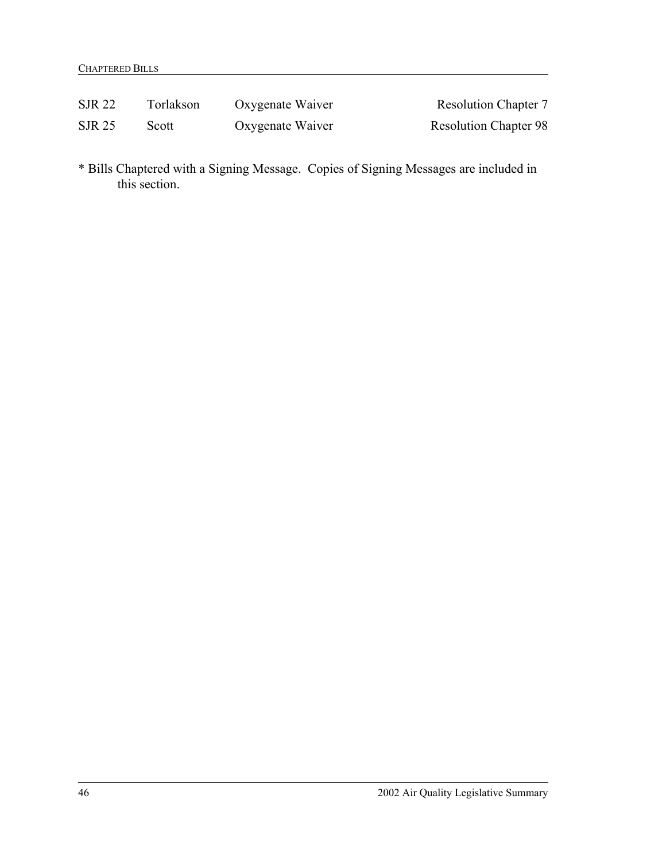| SJR 22        | Torlakson | Oxygenate Waiver | <b>Resolution Chapter 7</b>  |
|---------------|-----------|------------------|------------------------------|
| <b>SJR 25</b> | Scott     | Oxygenate Waiver | <b>Resolution Chapter 98</b> |

\* Bills Chaptered with a Signing Message. Copies of Signing Messages are included in this section.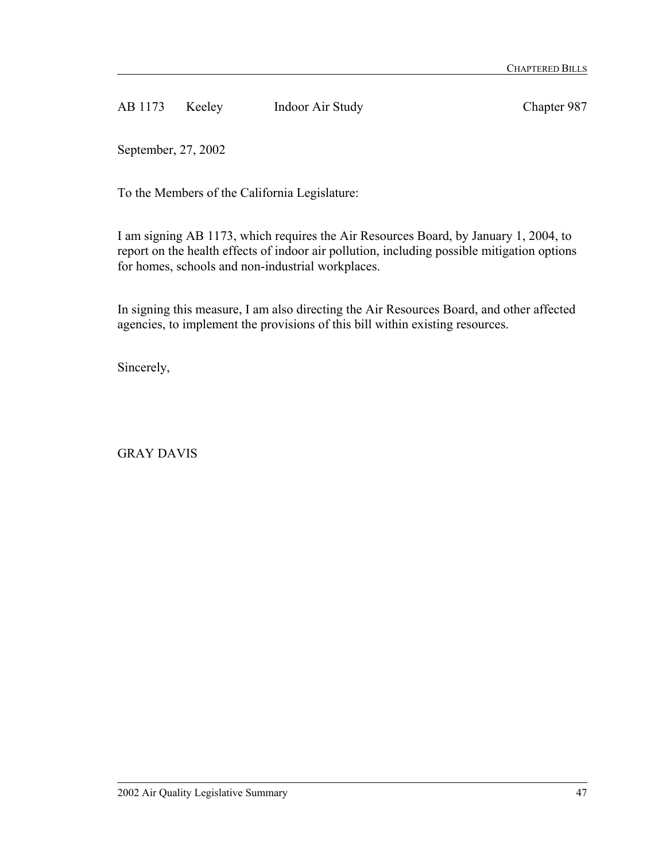AB 1173 Keeley Indoor Air Study Chapter 987

September, 27, 2002

To the Members of the California Legislature:

I am signing AB 1173, which requires the Air Resources Board, by January 1, 2004, to report on the health effects of indoor air pollution, including possible mitigation options for homes, schools and non-industrial workplaces.

In signing this measure, I am also directing the Air Resources Board, and other affected agencies, to implement the provisions of this bill within existing resources.

Sincerely,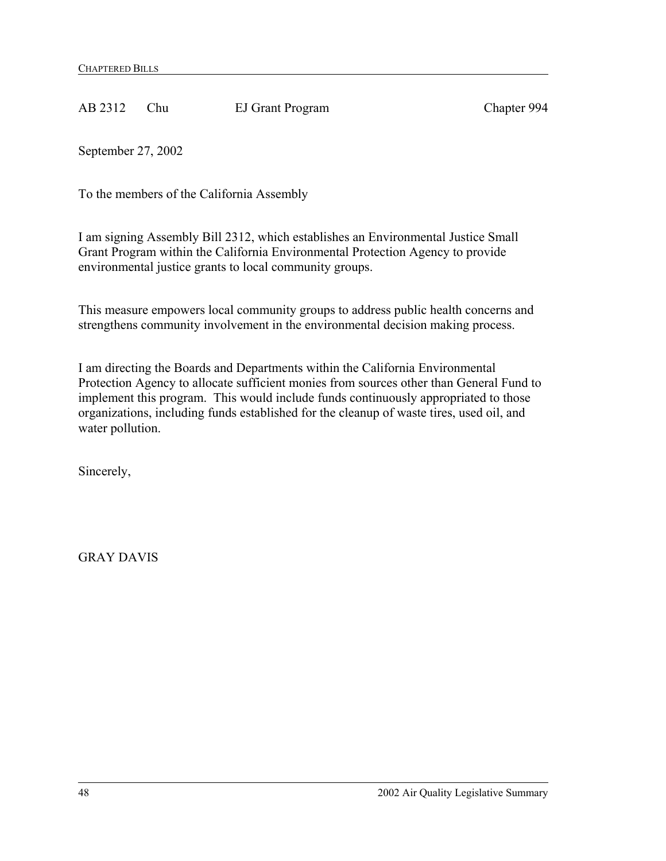AB 2312 Chu EJ Grant Program Chapter 994

September 27, 2002

To the members of the California Assembly

I am signing Assembly Bill 2312, which establishes an Environmental Justice Small Grant Program within the California Environmental Protection Agency to provide environmental justice grants to local community groups.

This measure empowers local community groups to address public health concerns and strengthens community involvement in the environmental decision making process.

I am directing the Boards and Departments within the California Environmental Protection Agency to allocate sufficient monies from sources other than General Fund to implement this program. This would include funds continuously appropriated to those organizations, including funds established for the cleanup of waste tires, used oil, and water pollution.

Sincerely,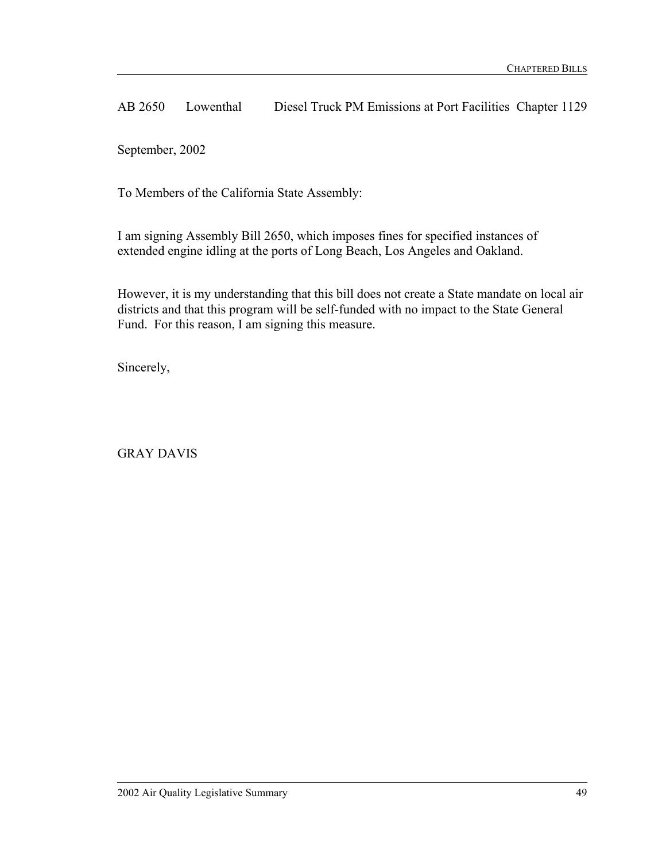AB 2650 Lowenthal Diesel Truck PM Emissions at Port Facilities Chapter 1129

September, 2002

To Members of the California State Assembly:

I am signing Assembly Bill 2650, which imposes fines for specified instances of extended engine idling at the ports of Long Beach, Los Angeles and Oakland.

However, it is my understanding that this bill does not create a State mandate on local air districts and that this program will be self-funded with no impact to the State General Fund. For this reason, I am signing this measure.

Sincerely,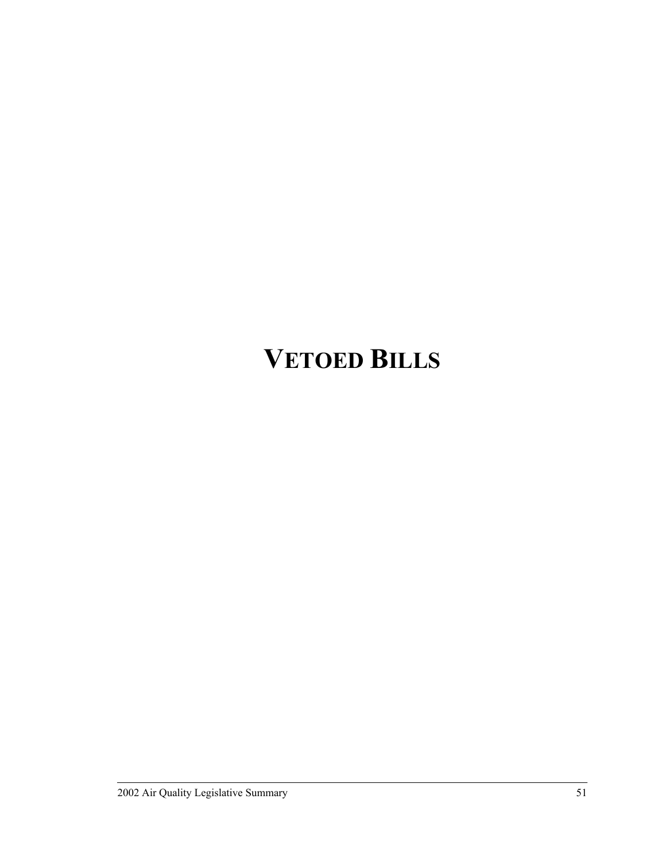## **VETOED BILLS**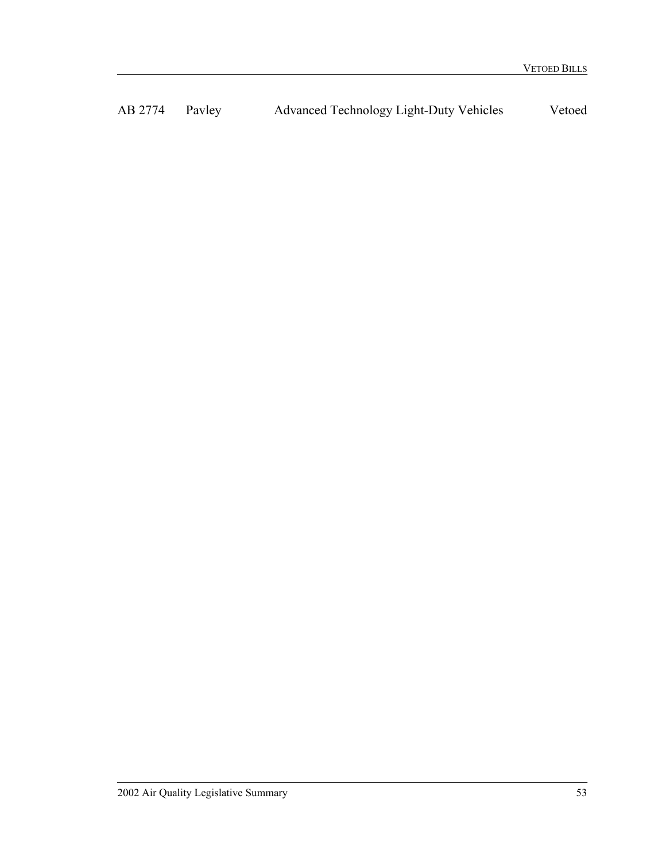AB 2774 Pavley Advanced Technology Light-Duty Vehicles Vetoed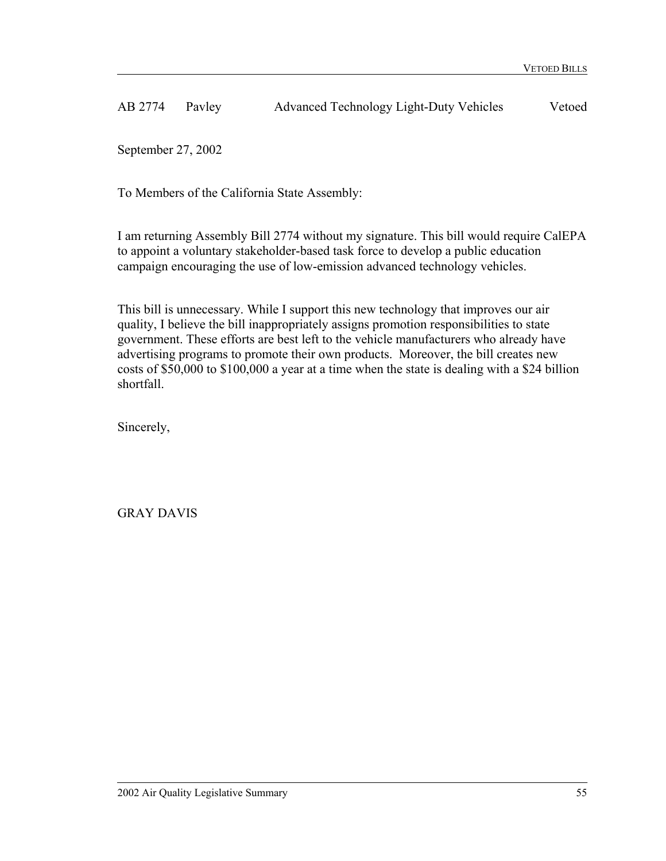AB 2774 Pavley Advanced Technology Light-Duty Vehicles Vetoed

September 27, 2002

To Members of the California State Assembly:

I am returning Assembly Bill 2774 without my signature. This bill would require CalEPA to appoint a voluntary stakeholder-based task force to develop a public education campaign encouraging the use of low-emission advanced technology vehicles.

This bill is unnecessary. While I support this new technology that improves our air quality, I believe the bill inappropriately assigns promotion responsibilities to state government. These efforts are best left to the vehicle manufacturers who already have advertising programs to promote their own products. Moreover, the bill creates new costs of \$50,000 to \$100,000 a year at a time when the state is dealing with a \$24 billion shortfall.

Sincerely,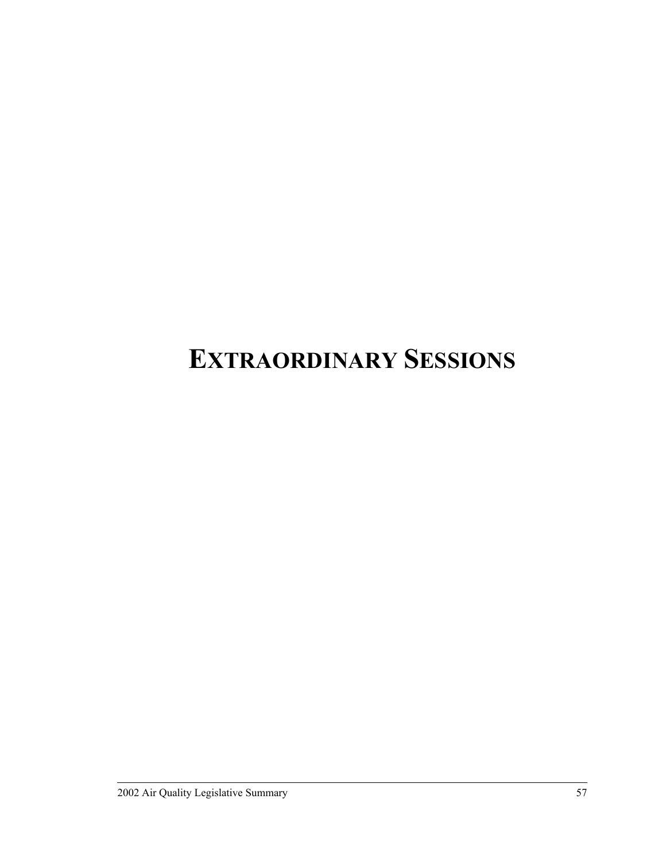## **EXTRAORDINARY SESSIONS**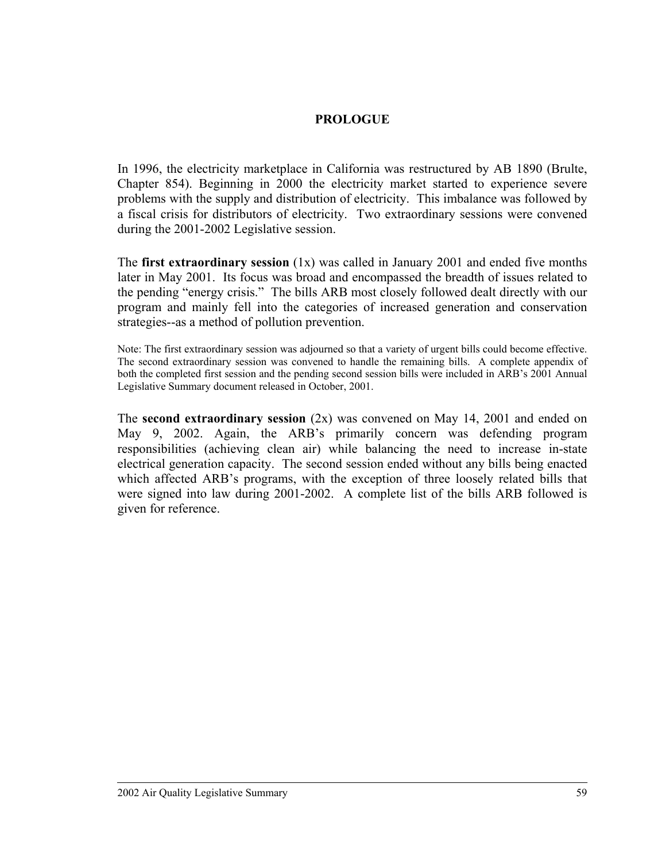### **PROLOGUE**

In 1996, the electricity marketplace in California was restructured by AB 1890 (Brulte, Chapter 854). Beginning in 2000 the electricity market started to experience severe problems with the supply and distribution of electricity. This imbalance was followed by a fiscal crisis for distributors of electricity. Two extraordinary sessions were convened during the 2001-2002 Legislative session.

The **first extraordinary session** (1x) was called in January 2001 and ended five months later in May 2001. Its focus was broad and encompassed the breadth of issues related to the pending "energy crisis." The bills ARB most closely followed dealt directly with our program and mainly fell into the categories of increased generation and conservation strategies--as a method of pollution prevention.

Note: The first extraordinary session was adjourned so that a variety of urgent bills could become effective. The second extraordinary session was convened to handle the remaining bills. A complete appendix of both the completed first session and the pending second session bills were included in ARB's 2001 Annual Legislative Summary document released in October, 2001.

The **second extraordinary session** (2x) was convened on May 14, 2001 and ended on May 9, 2002. Again, the ARB's primarily concern was defending program responsibilities (achieving clean air) while balancing the need to increase in-state electrical generation capacity. The second session ended without any bills being enacted which affected ARB's programs, with the exception of three loosely related bills that were signed into law during 2001-2002. A complete list of the bills ARB followed is given for reference.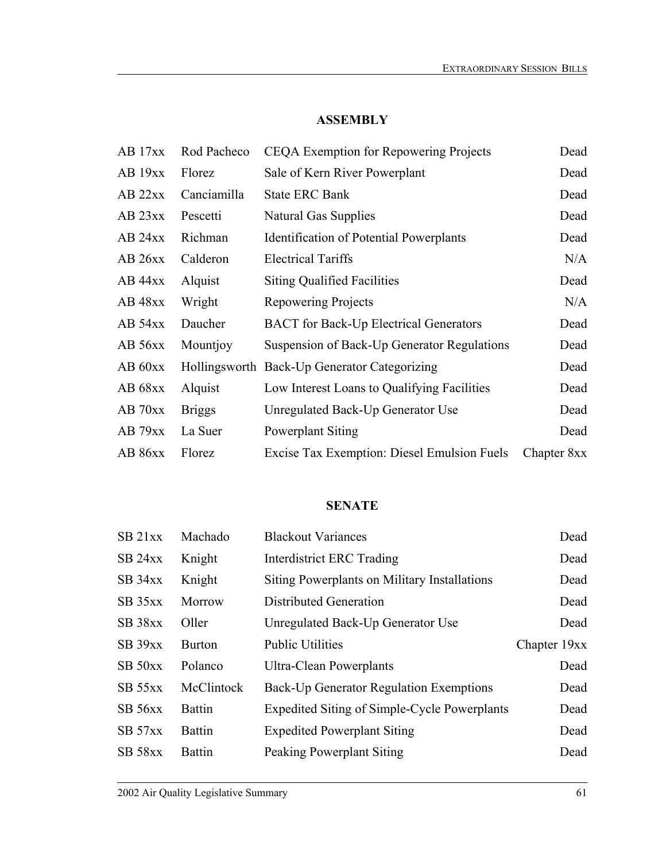### **ASSEMBLY**

| AB 17xx   | Rod Pacheco   | CEQA Exemption for Repowering Projects         | Dead        |
|-----------|---------------|------------------------------------------------|-------------|
| AB 19xx   | Florez        | Sale of Kern River Powerplant                  | Dead        |
| AB 22xx   | Canciamilla   | <b>State ERC Bank</b>                          | Dead        |
| $AB$ 23xx | Pescetti      | <b>Natural Gas Supplies</b>                    | Dead        |
| AB 24xx   | Richman       | <b>Identification of Potential Powerplants</b> | Dead        |
| AB 26xx   | Calderon      | <b>Electrical Tariffs</b>                      | N/A         |
| $AB$ 44xx | Alquist       | <b>Siting Qualified Facilities</b>             | Dead        |
| $AB$ 48xx | Wright        | Repowering Projects                            | N/A         |
| AB 54xx   | Daucher       | <b>BACT</b> for Back-Up Electrical Generators  | Dead        |
| AB 56xx   | Mountjoy      | Suspension of Back-Up Generator Regulations    | Dead        |
| AB 60xx   |               | Hollingsworth Back-Up Generator Categorizing   | Dead        |
| AB 68xx   | Alquist       | Low Interest Loans to Qualifying Facilities    | Dead        |
| $AB$ 70xx | <b>Briggs</b> | Unregulated Back-Up Generator Use              | Dead        |
| AB 79xx   | La Suer       | <b>Powerplant Siting</b>                       | Dead        |
| AB 86xx   | Florez        | Excise Tax Exemption: Diesel Emulsion Fuels    | Chapter 8xx |

### **SENATE**

| SB <sub>21xx</sub> | Machado       | <b>Blackout Variances</b>                    | Dead         |
|--------------------|---------------|----------------------------------------------|--------------|
| $SB$ 24xx          | Knight        | <b>Interdistrict ERC Trading</b>             | Dead         |
| $SB$ 34xx          | Knight        | Siting Powerplants on Military Installations | Dead         |
| $SB$ 35 $xx$       | Morrow        | <b>Distributed Generation</b>                | Dead         |
| SB 38xx            | Oller         | Unregulated Back-Up Generator Use            | Dead         |
| $SB$ 39 $xx$       | <b>Burton</b> | <b>Public Utilities</b>                      | Chapter 19xx |
| $SB$ 50 $xx$       | Polanco       | Ultra-Clean Powerplants                      | Dead         |
| $SB$ 55xx          | McClintock    | Back-Up Generator Regulation Exemptions      | Dead         |
| $SB$ 56xx          | <b>Battin</b> | Expedited Siting of Simple-Cycle Powerplants | Dead         |
| SB 57xx            | <b>Battin</b> | <b>Expedited Powerplant Siting</b>           | Dead         |
| <b>SB 58xx</b>     | <b>Battin</b> | <b>Peaking Powerplant Siting</b>             | Dead         |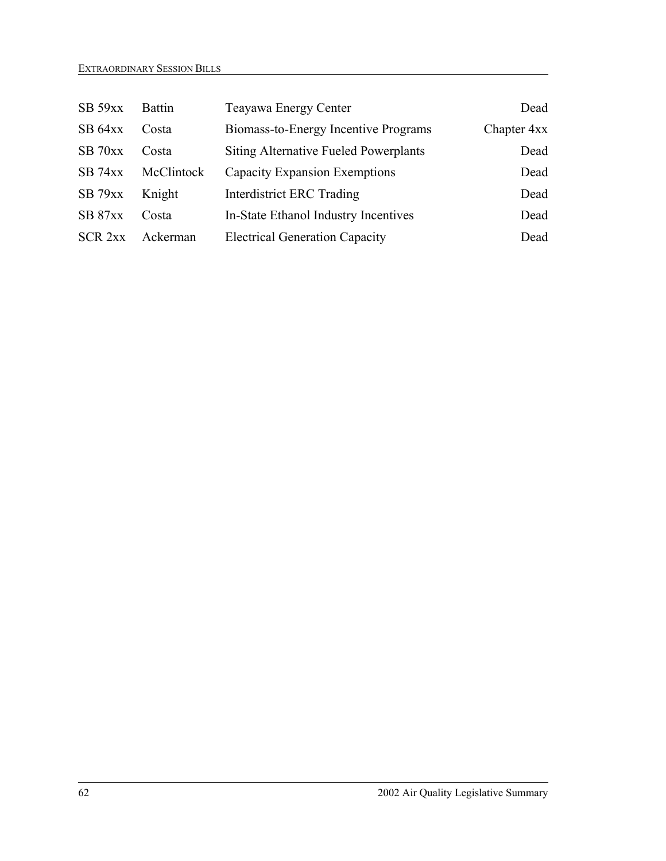| $SB$ 59xx          | <b>Battin</b> | Teayawa Energy Center                        | Dead        |
|--------------------|---------------|----------------------------------------------|-------------|
| SB 64xx            | Costa         | Biomass-to-Energy Incentive Programs         | Chapter 4xx |
| $SB$ 70xx          | Costa         | <b>Siting Alternative Fueled Powerplants</b> | Dead        |
| $SB$ 74xx          | McClintock    | <b>Capacity Expansion Exemptions</b>         | Dead        |
| $SB$ 79 $xx$       | Knight        | <b>Interdistrict ERC Trading</b>             | Dead        |
| SB 87xx            | Costa         | In-State Ethanol Industry Incentives         | Dead        |
| SCR <sub>2xx</sub> | Ackerman      | <b>Electrical Generation Capacity</b>        | Dead        |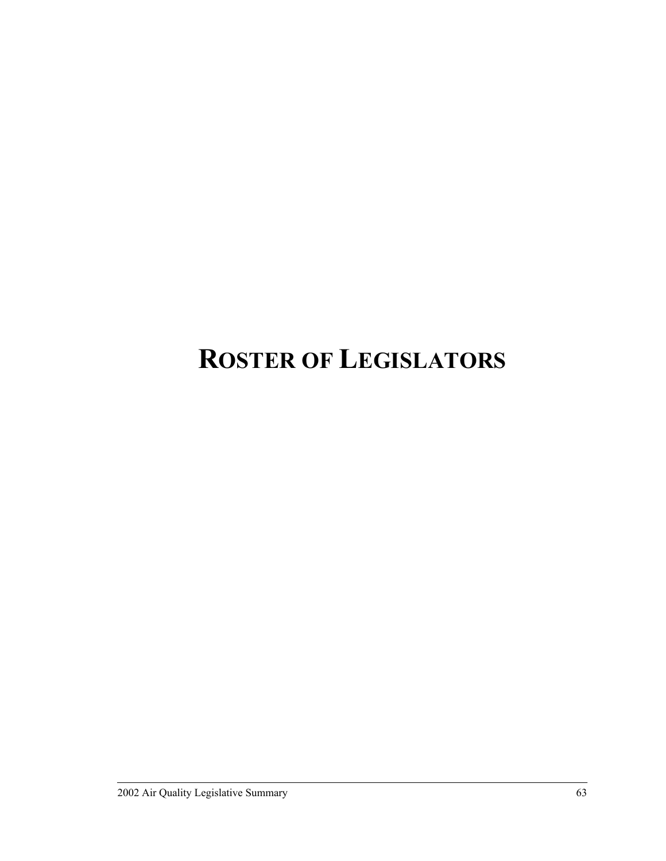## **ROSTER OF LEGISLATORS**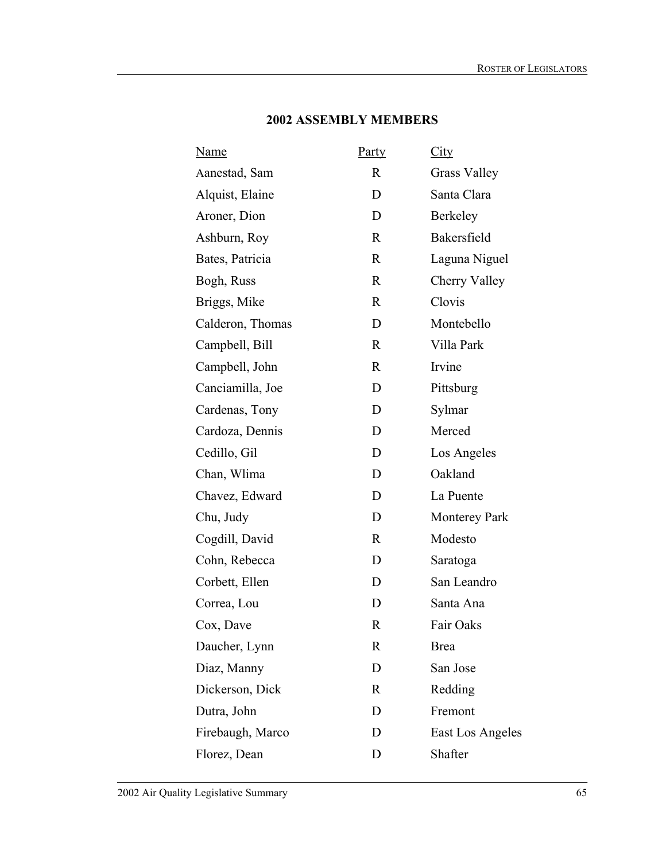| <u>Party</u> | City                 |
|--------------|----------------------|
| $\mathbf{R}$ | <b>Grass Valley</b>  |
| D            | Santa Clara          |
| D            | Berkeley             |
| R            | Bakersfield          |
| $\mathbf R$  | Laguna Niguel        |
| $\mathbf R$  | Cherry Valley        |
| R            | Clovis               |
| D            | Montebello           |
| $\mathbf R$  | Villa Park           |
| R            | Irvine               |
| D            | Pittsburg            |
| D            | Sylmar               |
| D            | Merced               |
| D            | Los Angeles          |
| D            | Oakland              |
| D            | La Puente            |
| D            | <b>Monterey Park</b> |
| $\mathbf R$  | Modesto              |
| D            | Saratoga             |
| D            | San Leandro          |
| D            | Santa Ana            |
| R            | Fair Oaks            |
| R            | <b>Brea</b>          |
| D            | San Jose             |
| R            | Redding              |
| D            | Fremont              |
| D            | East Los Angeles     |
| D            | Shafter              |
|              |                      |

### **2002 ASSEMBLY MEMBERS**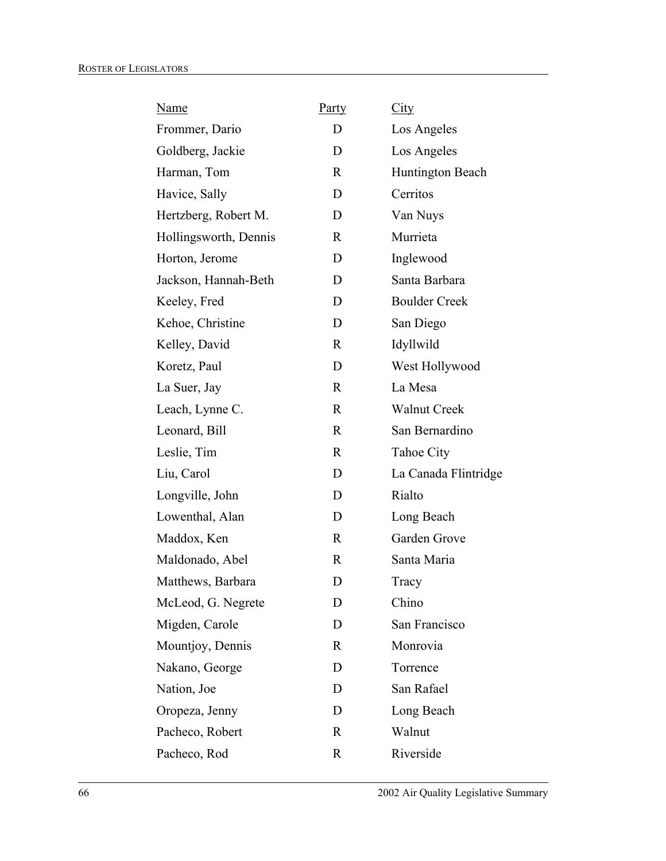| <b>Name</b>           | <b>Party</b> | City                 |
|-----------------------|--------------|----------------------|
| Frommer, Dario        | D            | Los Angeles          |
| Goldberg, Jackie      | D            | Los Angeles          |
| Harman, Tom           | $\mathbf{R}$ | Huntington Beach     |
| Havice, Sally         | D            | Cerritos             |
| Hertzberg, Robert M.  | D            | Van Nuys             |
| Hollingsworth, Dennis | R            | Murrieta             |
| Horton, Jerome        | D            | Inglewood            |
| Jackson, Hannah-Beth  | D            | Santa Barbara        |
| Keeley, Fred          | D            | <b>Boulder Creek</b> |
| Kehoe, Christine      | D            | San Diego            |
| Kelley, David         | $\mathbf R$  | Idyllwild            |
| Koretz, Paul          | D            | West Hollywood       |
| La Suer, Jay          | $\mathbf R$  | La Mesa              |
| Leach, Lynne C.       | $\mathbf R$  | <b>Walnut Creek</b>  |
| Leonard, Bill         | $\mathbf R$  | San Bernardino       |
| Leslie, Tim           | $\mathbf R$  | <b>Tahoe City</b>    |
| Liu, Carol            | D            | La Canada Flintridge |
| Longville, John       | D            | Rialto               |
| Lowenthal, Alan       | D            | Long Beach           |
| Maddox, Ken           | $\mathbf R$  | Garden Grove         |
| Maldonado, Abel       | R            | Santa Maria          |
| Matthews, Barbara     | D            | Tracy                |
| McLeod, G. Negrete    | D            | Chino                |
| Migden, Carole        | D            | San Francisco        |
| Mountjoy, Dennis      | $\mathbf R$  | Monrovia             |
| Nakano, George        | D            | Torrence             |
| Nation, Joe           | D            | San Rafael           |
| Oropeza, Jenny        | D            | Long Beach           |
| Pacheco, Robert       | $\mathbf R$  | Walnut               |
| Pacheco, Rod          | $\mathbf R$  | Riverside            |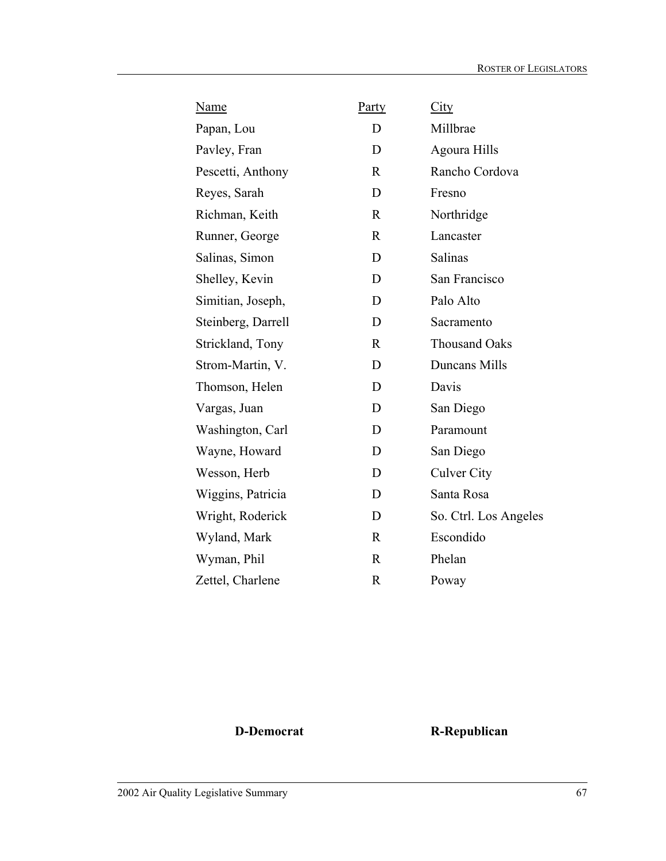| Name               | <b>Party</b> | City                  |
|--------------------|--------------|-----------------------|
| Papan, Lou         | D            | Millbrae              |
| Pavley, Fran       | D            | <b>Agoura Hills</b>   |
| Pescetti, Anthony  | $\mathbf R$  | Rancho Cordova        |
| Reyes, Sarah       | D            | Fresno                |
| Richman, Keith     | $\mathbf R$  | Northridge            |
| Runner, George     | $\mathsf{R}$ | Lancaster             |
| Salinas, Simon     | D            | Salinas               |
| Shelley, Kevin     | D            | San Francisco         |
| Simitian, Joseph,  | D            | Palo Alto             |
| Steinberg, Darrell | D            | Sacramento            |
| Strickland, Tony   | $\mathbf R$  | <b>Thousand Oaks</b>  |
| Strom-Martin, V.   | D            | Duncans Mills         |
| Thomson, Helen     | D            | Davis                 |
| Vargas, Juan       | D            | San Diego             |
| Washington, Carl   | D            | Paramount             |
| Wayne, Howard      | D            | San Diego             |
| Wesson, Herb       | D            | <b>Culver City</b>    |
| Wiggins, Patricia  | D            | Santa Rosa            |
| Wright, Roderick   | D            | So. Ctrl. Los Angeles |
| Wyland, Mark       | $\mathbf R$  | Escondido             |
| Wyman, Phil        | $\mathbf R$  | Phelan                |
| Zettel, Charlene   | $\mathbf R$  | Poway                 |

**D-Democrat R-Republican**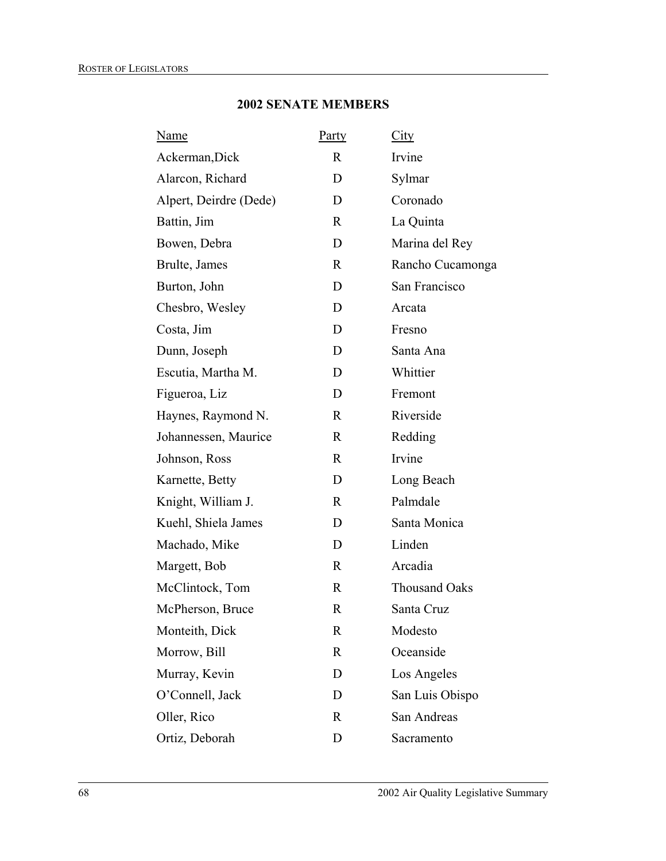## **2002 SENATE MEMBERS**

| <u>Name</u>            | <b>Party</b> | City                 |
|------------------------|--------------|----------------------|
| Ackerman, Dick         | $\mathbf{R}$ | Irvine               |
| Alarcon, Richard       | D            | Sylmar               |
| Alpert, Deirdre (Dede) | D            | Coronado             |
| Battin, Jim            | R            | La Quinta            |
| Bowen, Debra           | D            | Marina del Rey       |
| Brulte, James          | $\mathbf R$  | Rancho Cucamonga     |
| Burton, John           | D            | San Francisco        |
| Chesbro, Wesley        | D            | Arcata               |
| Costa, Jim             | D            | Fresno               |
| Dunn, Joseph           | D            | Santa Ana            |
| Escutia, Martha M.     | D            | Whittier             |
| Figueroa, Liz          | D            | Fremont              |
| Haynes, Raymond N.     | R            | Riverside            |
| Johannessen, Maurice   | R            | Redding              |
| Johnson, Ross          | R            | Irvine               |
| Karnette, Betty        | D            | Long Beach           |
| Knight, William J.     | $\mathbf R$  | Palmdale             |
| Kuehl, Shiela James    | D            | Santa Monica         |
| Machado, Mike          | D            | Linden               |
| Margett, Bob           | $\mathbf R$  | Arcadia              |
| McClintock, Tom        | R            | <b>Thousand Oaks</b> |
| McPherson, Bruce       | R            | Santa Cruz           |
| Monteith, Dick         | R            | Modesto              |
| Morrow, Bill           | R            | Oceanside            |
| Murray, Kevin          | D            | Los Angeles          |
| O'Connell, Jack        | D            | San Luis Obispo      |
| Oller, Rico            | $\mathbf R$  | San Andreas          |
| Ortiz, Deborah         | D            | Sacramento           |